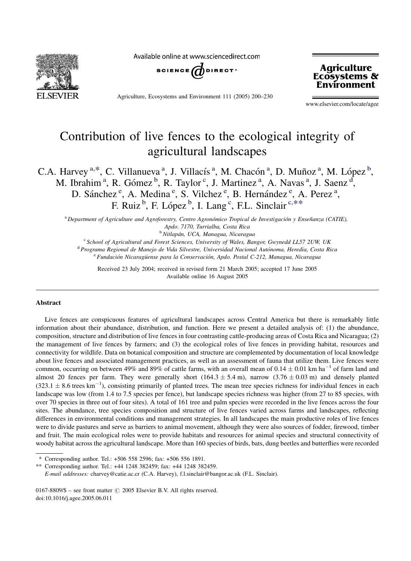

Available online at www.sciencedirect.com



Agriculture, Ecosystems and Environment 111 (2005) 200–230



www.elsevier.com/locate/agee

# Contribution of live fences to the ecological integrity of agricultural landscapes

C.A. Harvey<sup>a,\*</sup>, C. Villanueva<sup>a</sup>, J. Villacís<sup>a</sup>, M. Chacón<sup>a</sup>, D. Muñoz<sup>a</sup>, M. López<sup>b</sup>, M. Ibrahim<sup>a</sup>, R. Gómez<sup>b</sup>, R. Taylor<sup>c</sup>, J. Martinez<sup>a</sup>, A. Navas<sup>a</sup>, J. Saenz<sup>d</sup>, D. Sánchez<sup>e</sup>, A. Medina<sup>e</sup>, S. Vilchez<sup>e</sup>, B. Hernández<sup>e</sup>, A. Perez<sup>a</sup>, F. Ruiz<sup>b</sup>, F. López<sup>b</sup>, I. Lang<sup>c</sup>, F.L. Sinclair<sup>c,\*\*</sup>

<sup>a</sup> Department of Agriculture and Agroforestry, Centro Agronómico Tropical de Investigación y Enseñanza (CATIE), Apdo. 7170, Turrialba, Costa Rica

<sup>b</sup> Nitlapán, UCA, Managua, Nicaragua

<sup>c</sup> School of Agricultural and Forest Sciences, University of Wales, Bangor, Gwynedd LL57 2UW, UK

<sup>d</sup> Programa Regional de Manejo de Vida Silvestre, Universidad Nacional Autónoma, Heredia, Costa Rica

 $e^c$ Fundación Nicaragüense para la Conservación, Apdo. Postal C-212, Managua, Nicaragua

Received 23 July 2004; received in revised form 21 March 2005; accepted 17 June 2005 Available online 16 August 2005

#### Abstract

Live fences are conspicuous features of agricultural landscapes across Central America but there is remarkably little information about their abundance, distribution, and function. Here we present a detailed analysis of: (1) the abundance, composition, structure and distribution of live fences in four contrasting cattle-producing areas of Costa Rica and Nicaragua; (2) the management of live fences by farmers; and (3) the ecological roles of live fences in providing habitat, resources and connectivity for wildlife. Data on botanical composition and structure are complemented by documentation of local knowledge about live fences and associated management practices, as well as an assessment of fauna that utilize them. Live fences were common, occurring on between 49% and 89% of cattle farms, with an overall mean of  $0.14 \pm 0.01$  km ha<sup>-1</sup> of farm land and almost 20 fences per farm. They were generally short (164.3  $\pm$  5.4 m), narrow (3.76  $\pm$  0.03 m) and densely planted  $(323.1 \pm 8.6 \text{ trees km}^{-1})$ , consisting primarily of planted trees. The mean tree species richness for individual fences in each landscape was low (from 1.4 to 7.5 species per fence), but landscape species richness was higher (from 27 to 85 species, with over 70 species in three out of four sites). A total of 161 tree and palm species were recorded in the live fences across the four sites. The abundance, tree species composition and structure of live fences varied across farms and landscapes, reflecting differences in environmental conditions and management strategies. In all landscapes the main productive roles of live fences were to divide pastures and serve as barriers to animal movement, although they were also sources of fodder, firewood, timber and fruit. The main ecological roles were to provide habitats and resources for animal species and structural connectivity of woody habitat across the agricultural landscape. More than 160 species of birds, bats, dung beetles and butterflies were recorded

\*\* Corresponding author. Tel.: +44 1248 382459; fax: +44 1248 382459.

E-mail addresses: charvey@catie.ac.cr (C.A. Harvey), f.l.sinclair@bangor.ac.uk (F.L. Sinclair).

<sup>\*</sup> Corresponding author. Tel.: +506 558 2596; fax: +506 556 1891.

<sup>0167-8809/\$ –</sup> see front matter  $\odot$  2005 Elsevier B.V. All rights reserved. doi:10.1016/j.agee.2005.06.011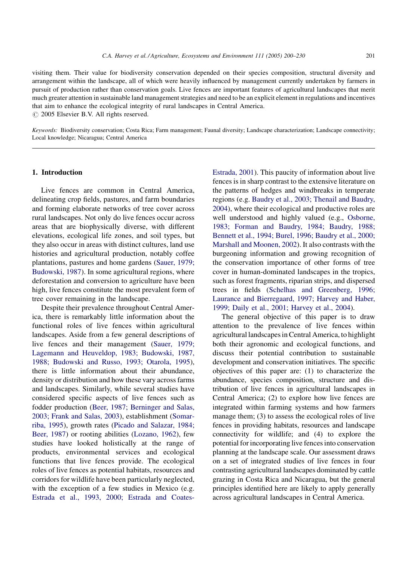visiting them. Their value for biodiversity conservation depended on their species composition, structural diversity and arrangement within the landscape, all of which were heavily influenced by management currently undertaken by farmers in pursuit of production rather than conservation goals. Live fences are important features of agricultural landscapes that merit much greater attention in sustainable land management strategies and need to be an explicit element in regulations and incentives that aim to enhance the ecological integrity of rural landscapes in Central America.

 $\odot$  2005 Elsevier B.V. All rights reserved.

Keywords: Biodiversity conservation; Costa Rica; Farm management; Faunal diversity; Landscape characterization; Landscape connectivity; Local knowledge; Nicaragua; Central America

#### 1. Introduction

Live fences are common in Central America, delineating crop fields, pastures, and farm boundaries and forming elaborate networks of tree cover across rural landscapes. Not only do live fences occur across areas that are biophysically diverse, with different elevations, ecological life zones, and soil types, but they also occur in areas with distinct cultures, land use histories and agricultural production, notably coffee plantations, pastures and home gardens [\(Sauer, 1979;](#page-29-0) [Budowski, 1987\)](#page-29-0). In some agricultural regions, where deforestation and conversion to agriculture have been high, live fences constitute the most prevalent form of tree cover remaining in the landscape.

Despite their prevalence throughout Central America, there is remarkably little information about the functional roles of live fences within agricultural landscapes. Aside from a few general descriptions of live fences and their management [\(Sauer, 1979;](#page-29-0) [Lagemann and Heuveldop, 1983; Budowski, 1987,](#page-29-0) [1988; Budowski and Russo, 1993; Otarola, 1995\)](#page-29-0), there is little information about their abundance, density or distribution and how these vary across farms and landscapes. Similarly, while several studies have considered specific aspects of live fences such as fodder production [\(Beer, 1987; Berninger and Salas,](#page-28-0) [2003; Frank and Salas, 2003](#page-28-0)), establishment [\(Somar](#page-29-0)[riba, 1995](#page-29-0)), growth rates ([Picado and Salazar, 1984;](#page-29-0) [Beer, 1987](#page-29-0)) or rooting abilities [\(Lozano, 1962\)](#page-29-0), few studies have looked holistically at the range of products, environmental services and ecological functions that live fences provide. The ecological roles of live fences as potential habitats, resources and corridors for wildlife have been particularly neglected, with the exception of a few studies in Mexico (e.g. [Estrada et al., 1993, 2000; Estrada and Coates-](#page-29-0) [Estrada, 2001\)](#page-29-0). This paucity of information about live fences is in sharp contrast to the extensive literature on the patterns of hedges and windbreaks in temperate regions (e.g. [Baudry et al., 2003; Thenail and Baudry,](#page-28-0) [2004\)](#page-28-0), where their ecological and productive roles are well understood and highly valued (e.g., [Osborne,](#page-29-0) [1983; Forman and Baudry, 1984; Baudry, 1988;](#page-29-0) [Bennett et al., 1994; Burel, 1996; Baudry et al., 2000;](#page-29-0) [Marshall and Moonen, 2002](#page-29-0)). It also contrasts with the burgeoning information and growing recognition of the conservation importance of other forms of tree cover in human-dominated landscapes in the tropics, such as forest fragments, riparian strips, and dispersed trees in fields [\(Schelhas and Greenberg, 1996;](#page-29-0) [Laurance and Bierregaard, 1997; Harvey and Haber,](#page-29-0) [1999; Daily et al., 2001; Harvey et al., 2004](#page-29-0)).

The general objective of this paper is to draw attention to the prevalence of live fences within agricultural landscapes in Central America, to highlight both their agronomic and ecological functions, and discuss their potential contribution to sustainable development and conservation initiatives. The specific objectives of this paper are: (1) to characterize the abundance, species composition, structure and distribution of live fences in agricultural landscapes in Central America; (2) to explore how live fences are integrated within farming systems and how farmers manage them; (3) to assess the ecological roles of live fences in providing habitats, resources and landscape connectivity for wildlife; and (4) to explore the potential for incorporating live fences into conservation planning at the landscape scale. Our assessment draws on a set of integrated studies of live fences in four contrasting agricultural landscapes dominated by cattle grazing in Costa Rica and Nicaragua, but the general principles identified here are likely to apply generally across agricultural landscapes in Central America.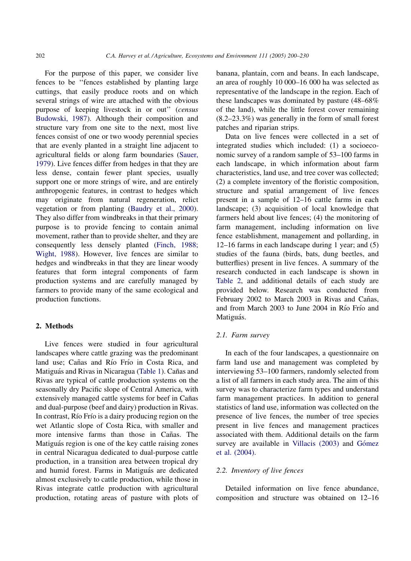<span id="page-2-0"></span>For the purpose of this paper, we consider live fences to be ''fences established by planting large cuttings, that easily produce roots and on which several strings of wire are attached with the obvious purpose of keeping livestock in or out'' (census [Budowski, 1987](#page-28-0)). Although their composition and structure vary from one site to the next, most live fences consist of one or two woody perennial species that are evenly planted in a straight line adjacent to agricultural fields or along farm boundaries ([Sauer,](#page-29-0) [1979](#page-29-0)). Live fences differ from hedges in that they are less dense, contain fewer plant species, usually support one or more strings of wire, and are entirely anthropogenic features, in contrast to hedges which may originate from natural regeneration, relict vegetation or from planting ([Baudry et al., 2000\)](#page-28-0). They also differ from windbreaks in that their primary purpose is to provide fencing to contain animal movement, rather than to provide shelter, and they are consequently less densely planted [\(Finch, 1988;](#page-29-0) [Wight, 1988\)](#page-29-0). However, live fences are similar to hedges and windbreaks in that they are linear woody features that form integral components of farm production systems and are carefully managed by farmers to provide many of the same ecological and production functions.

# 2. Methods

Live fences were studied in four agricultural landscapes where cattle grazing was the predominant land use; Cañas and Río Frío in Costa Rica, and Matiguás and Rivas in Nicaragua [\(Table 1\)](#page-3-0). Cañas and Rivas are typical of cattle production systems on the seasonally dry Pacific slope of Central America, with extensively managed cattle systems for beef in Cañas and dual-purpose (beef and dairy) production in Rivas. In contrast, Río Frío is a dairy producing region on the wet Atlantic slope of Costa Rica, with smaller and more intensive farms than those in Cañas. The Matiguás region is one of the key cattle raising zones in central Nicaragua dedicated to dual-purpose cattle production, in a transition area between tropical dry and humid forest. Farms in Matiguás are dedicated almost exclusively to cattle production, while those in Rivas integrate cattle production with agricultural production, rotating areas of pasture with plots of banana, plantain, corn and beans. In each landscape, an area of roughly 10 000–16 000 ha was selected as representative of the landscape in the region. Each of these landscapes was dominated by pasture (48–68% of the land), while the little forest cover remaining (8.2–23.3%) was generally in the form of small forest patches and riparian strips.

Data on live fences were collected in a set of integrated studies which included: (1) a socioeconomic survey of a random sample of 53–100 farms in each landscape, in which information about farm characteristics, land use, and tree cover was collected; (2) a complete inventory of the floristic composition, structure and spatial arrangement of live fences present in a sample of 12–16 cattle farms in each landscape; (3) acquisition of local knowledge that farmers held about live fences; (4) the monitoring of farm management, including information on live fence establishment, management and pollarding, in 12–16 farms in each landscape during 1 year; and (5) studies of the fauna (birds, bats, dung beetles, and butterflies) present in live fences. A summary of the research conducted in each landscape is shown in [Table 2](#page-4-0), and additional details of each study are provided below. Research was conducted from February 2002 to March 2003 in Rivas and Cañas, and from March 2003 to June 2004 in Río Frío and Matiguás.

# 2.1. Farm survey

In each of the four landscapes, a questionnaire on farm land use and management was completed by interviewing 53–100 farmers, randomly selected from a list of all farmers in each study area. The aim of this survey was to characterize farm types and understand farm management practices. In addition to general statistics of land use, information was collected on the presence of live fences, the number of tree species present in live fences and management practices associated with them. Additional details on the farm survey are available in [Villacis \(2003\)](#page-29-0) and Gómez [et al. \(2004\).](#page-29-0)

#### 2.2. Inventory of live fences

Detailed information on live fence abundance, composition and structure was obtained on 12–16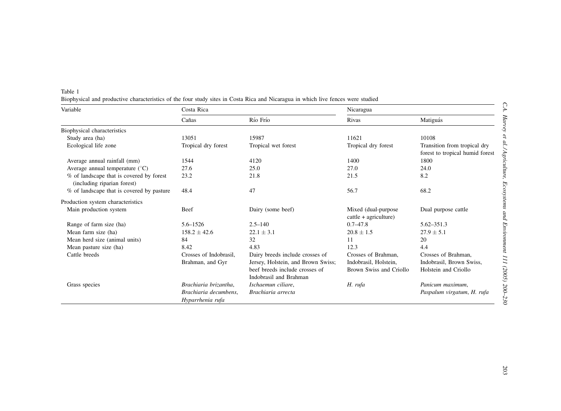| C.A. Hurvey to an ragroundre, comparing and comparing the strategy of $\sim$<br>,,,,,,,,,,, |  |
|---------------------------------------------------------------------------------------------|--|
|                                                                                             |  |
|                                                                                             |  |
|                                                                                             |  |
|                                                                                             |  |
|                                                                                             |  |
|                                                                                             |  |
|                                                                                             |  |
|                                                                                             |  |
| š                                                                                           |  |
|                                                                                             |  |
|                                                                                             |  |
|                                                                                             |  |
|                                                                                             |  |
|                                                                                             |  |
|                                                                                             |  |
|                                                                                             |  |
|                                                                                             |  |
|                                                                                             |  |
|                                                                                             |  |
|                                                                                             |  |
|                                                                                             |  |
|                                                                                             |  |
|                                                                                             |  |
|                                                                                             |  |

<span id="page-3-0"></span>

| Table 1                                                                                                                          |  |  |
|----------------------------------------------------------------------------------------------------------------------------------|--|--|
| Biophysical and productive characteristics of the four study sites in Costa Rica and Nicaragua in which live fences were studied |  |  |

| Variable                                                                | Costa Rica                                |                                                          | Nicaragua                                       |                                                                 |
|-------------------------------------------------------------------------|-------------------------------------------|----------------------------------------------------------|-------------------------------------------------|-----------------------------------------------------------------|
|                                                                         | Cañas                                     | Río Frío                                                 | Rivas                                           | Matiguás                                                        |
| Biophysical characteristics                                             |                                           |                                                          |                                                 |                                                                 |
| Study area (ha)                                                         | 13051                                     | 15987                                                    | 11621                                           | 10108                                                           |
| Ecological life zone                                                    | Tropical dry forest                       | Tropical wet forest                                      | Tropical dry forest                             | Transition from tropical dry<br>forest to tropical humid forest |
| Average annual rainfall (mm)                                            | 1544                                      | 4120                                                     | 1400                                            | 1800                                                            |
| Average annual temperature $(^{\circ}C)$                                | 27.6                                      | 25.0                                                     | 27.0                                            | 24.0                                                            |
| % of landscape that is covered by forest<br>(including riparian forest) | 23.2                                      | 21.8                                                     | 21.5                                            | 8.2                                                             |
| % of landscape that is covered by pasture                               | 48.4                                      | 47                                                       | 56.7                                            | 68.2                                                            |
| Production system characteristics                                       |                                           |                                                          |                                                 |                                                                 |
| Main production system                                                  | Beef                                      | Dairy (some beef)                                        | Mixed (dual-purpose)<br>$cattle + agriculture)$ | Dual purpose cattle                                             |
| Range of farm size (ha)                                                 | $5.6 - 1526$                              | $2.5 - 140$                                              | $0.7 - 47.8$                                    | $5.62 - 351.3$                                                  |
| Mean farm size (ha)                                                     | $158.2 \pm 42.6$                          | $22.1 \pm 3.1$                                           | $20.8 \pm 1.5$                                  | $27.9 \pm 5.1$                                                  |
| Mean herd size (animal units)                                           | 84                                        | 32                                                       | 11                                              | 20                                                              |
| Mean pasture size (ha)                                                  | 8.42                                      | 4.83                                                     | 12.3                                            | 4.4                                                             |
| Cattle breeds                                                           | Crosses of Indobrasil.                    | Dairy breeds include crosses of                          | Crosses of Brahman,                             | Crosses of Brahman.                                             |
|                                                                         | Brahman, and Gyr                          | Jersey, Holstein, and Brown Swiss;                       | Indobrasil, Holstein,                           | Indobrasil, Brown Swiss,                                        |
|                                                                         |                                           | beef breeds include crosses of<br>Indobrasil and Brahman | Brown Swiss and Criollo                         | Holstein and Criollo                                            |
| Grass species                                                           | Brachiaria brizantha,                     | Ischaemun ciliare,                                       | H. rufa                                         | Panicum maximum,                                                |
|                                                                         | Brachiaria decumbens.<br>Hyparrhenia rufa | Brachiaria arrecta                                       |                                                 | Paspalum virgatum, H. rufa                                      |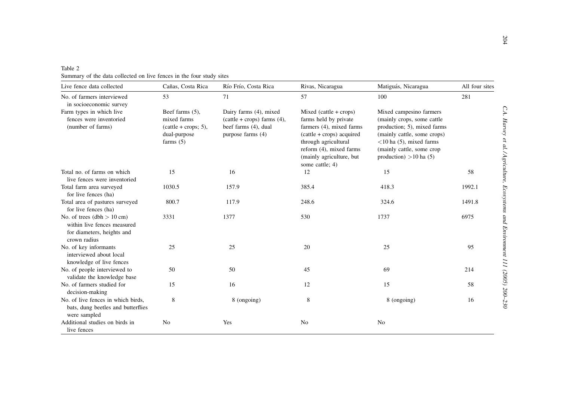| Table 2 |  |                                                                      |  |  |  |  |  |
|---------|--|----------------------------------------------------------------------|--|--|--|--|--|
|         |  | Summary of the data collected on live fences in the four study sites |  |  |  |  |  |

<span id="page-4-0"></span>

| Table 2<br>Summary of the data collected on live fences in the four study sites                           |                                                                                         |                                                                                                         |                                                                                                                                                                                                            |                                                                                                                                                                                                            |                |
|-----------------------------------------------------------------------------------------------------------|-----------------------------------------------------------------------------------------|---------------------------------------------------------------------------------------------------------|------------------------------------------------------------------------------------------------------------------------------------------------------------------------------------------------------------|------------------------------------------------------------------------------------------------------------------------------------------------------------------------------------------------------------|----------------|
| Live fence data collected                                                                                 | Cañas, Costa Rica                                                                       | Río Frío, Costa Rica                                                                                    | Rivas, Nicaragua                                                                                                                                                                                           | Matiguás, Nicaragua                                                                                                                                                                                        | All four sites |
| No. of farmers interviewed<br>in socioeconomic survey                                                     | 53                                                                                      | 71                                                                                                      | 57                                                                                                                                                                                                         | 100                                                                                                                                                                                                        | 281            |
| Farm types in which live<br>fences were inventoried<br>(number of farms)                                  | Beef farms (5),<br>mixed farms<br>$(cattle + crops; 5),$<br>dual-purpose<br>farms $(5)$ | Dairy farms (4), mixed<br>$(cattle + crops)$ farms $(4)$ ,<br>beef farms (4), dual<br>purpose farms (4) | Mixed (cattle + crops)<br>farms held by private<br>farmers (4), mixed farms<br>(cattle + crops) acquired<br>through agricultural<br>reform (4), mixed farms<br>(mainly agriculture, but<br>some cattle; 4) | Mixed campesino farmers<br>(mainly crops, some cattle<br>production; 5), mixed farms<br>(mainly cattle, some crops)<br>$<$ 10 ha (5), mixed farms<br>(mainly cattle, some crop<br>production) $>10$ ha (5) |                |
| Total no. of farms on which<br>live fences were inventoried                                               | 15                                                                                      | 16                                                                                                      | 12                                                                                                                                                                                                         | 15                                                                                                                                                                                                         | 58             |
| Total farm area surveyed<br>for live fences (ha)                                                          | 1030.5                                                                                  | 157.9                                                                                                   | 385.4                                                                                                                                                                                                      | 418.3                                                                                                                                                                                                      | 1992.1         |
| Total area of pastures surveyed<br>for live fences (ha)                                                   | 800.7                                                                                   | 117.9                                                                                                   | 248.6                                                                                                                                                                                                      | 324.6                                                                                                                                                                                                      | 1491.8         |
| No. of trees $(dbh > 10 cm)$<br>within live fences measured<br>for diameters, heights and<br>crown radius | 3331                                                                                    | 1377                                                                                                    | 530                                                                                                                                                                                                        | 1737                                                                                                                                                                                                       | 6975           |
| No. of key informants<br>interviewed about local<br>knowledge of live fences                              | 25                                                                                      | 25                                                                                                      | 20                                                                                                                                                                                                         | 25                                                                                                                                                                                                         | 95             |
| No. of people interviewed to<br>validate the knowledge base                                               | 50                                                                                      | 50                                                                                                      | 45                                                                                                                                                                                                         | 69                                                                                                                                                                                                         | 214            |
| No. of farmers studied for<br>decision-making                                                             | 15                                                                                      | 16                                                                                                      | 12                                                                                                                                                                                                         | 15                                                                                                                                                                                                         | 58             |
| No. of live fences in which birds,<br>bats, dung beetles and butterflies<br>were sampled                  | 8                                                                                       | 8 (ongoing)                                                                                             | 8                                                                                                                                                                                                          | 8 (ongoing)                                                                                                                                                                                                | 16             |
| Additional studies on birds in<br>live fences                                                             | N <sub>0</sub>                                                                          | Yes                                                                                                     | N <sub>o</sub>                                                                                                                                                                                             | N <sub>0</sub>                                                                                                                                                                                             |                |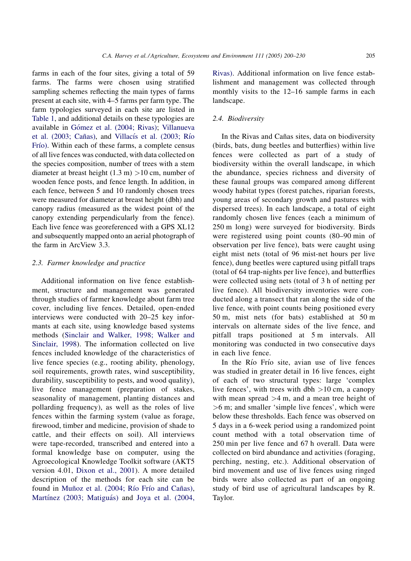farms in each of the four sites, giving a total of 59 farms. The farms were chosen using stratified sampling schemes reflecting the main types of farms present at each site, with 4–5 farms per farm type. The farm typologies surveyed in each site are listed in [Table 1](#page-3-0), and additional details on these typologies are available in Gómez et al. (2004; Rivas); [Villanueva](#page-29-0) et al. (2003; Cañas), and Villacís et al. (2003; Río Frío). Within each of these farms, a complete census of all live fences was conducted, with data collected on the species composition, number of trees with a stem diameter at breast height  $(1.3 \text{ m}) > 10 \text{ cm}$ , number of wooden fence posts, and fence length. In addition, in each fence, between 5 and 10 randomly chosen trees were measured for diameter at breast height (dbh) and canopy radius (measured as the widest point of the canopy extending perpendicularly from the fence). Each live fence was georeferenced with a GPS XL12 and subsequently mapped onto an aerial photograph of the farm in ArcView 3.3.

# 2.3. Farmer knowledge and practice

Additional information on live fence establishment, structure and management was generated through studies of farmer knowledge about farm tree cover, including live fences. Detailed, open-ended interviews were conducted with 20–25 key informants at each site, using knowledge based systems methods ([Sinclair and Walker, 1998; Walker and](#page-29-0) [Sinclair, 1998\)](#page-29-0). The information collected on live fences included knowledge of the characteristics of live fence species (e.g., rooting ability, phenology, soil requirements, growth rates, wind susceptibility, durability, susceptibility to pests, and wood quality), live fence management (preparation of stakes, seasonality of management, planting distances and pollarding frequency), as well as the roles of live fences within the farming system (value as forage, firewood, timber and medicine, provision of shade to cattle, and their effects on soil). All interviews were tape-recorded, transcribed and entered into a formal knowledge base on computer, using the Agroecological Knowledge Toolkit software (AKT5 version 4.01, [Dixon et al., 2001\)](#page-28-0). A more detailed description of the methods for each site can be found in Muñoz et al. (2004; Río Frío and Cañas), Martínez (2003; Matiguás) and [Joya et al. \(2004,](#page-29-0)

[Rivas\).](#page-29-0) Additional information on live fence establishment and management was collected through monthly visits to the 12–16 sample farms in each landscape.

# 2.4. Biodiversity

In the Rivas and Cañas sites, data on biodiversity (birds, bats, dung beetles and butterflies) within live fences were collected as part of a study of biodiversity within the overall landscape, in which the abundance, species richness and diversity of these faunal groups was compared among different woody habitat types (forest patches, riparian forests, young areas of secondary growth and pastures with dispersed trees). In each landscape, a total of eight randomly chosen live fences (each a minimum of 250 m long) were surveyed for biodiversity. Birds were registered using point counts (80–90 min of observation per live fence), bats were caught using eight mist nets (total of 96 mist-net hours per live fence), dung beetles were captured using pitfall traps (total of 64 trap-nights per live fence), and butterflies were collected using nets (total of 3 h of netting per live fence). All biodiversity inventories were conducted along a transect that ran along the side of the live fence, with point counts being positioned every 50 m, mist nets (for bats) established at 50 m intervals on alternate sides of the live fence, and pitfall traps positioned at 5 m intervals. All monitoring was conducted in two consecutive days in each live fence.

In the Río Frío site, avian use of live fences was studied in greater detail in 16 live fences, eight of each of two structural types: large 'complex live fences', with trees with dbh  $>10$  cm, a canopy with mean spread  $>4$  m, and a mean tree height of >6 m; and smaller 'simple live fences', which were below these thresholds. Each fence was observed on 5 days in a 6-week period using a randomized point count method with a total observation time of 250 min per live fence and 67 h overall. Data were collected on bird abundance and activities (foraging, perching, nesting, etc.). Additional observation of bird movement and use of live fences using ringed birds were also collected as part of an ongoing study of bird use of agricultural landscapes by R. Taylor.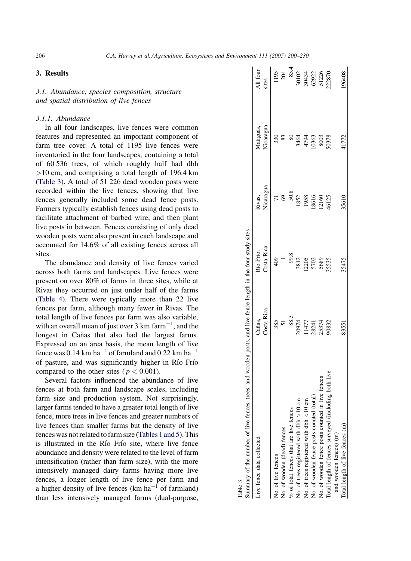# 3. Results

3.1. Abundance, species composition, structure and spatial distribution of live fences

# 3.1.1. Abundance

In all four landscapes, live fences were common features and represented an important component of farm tree cover. A total of 1195 live fences were inventoried in the four landscapes, containing a total of 60 536 trees, of which roughly half had dbh >10 cm, and comprising a total length of 196.4 km (Table 3). A total of 51 226 dead wooden posts were recorded within the live fences, showing that live fences generally included some dead fence posts. Farmers typically establish fences using dead posts to facilitate attachment of barbed wire, and then plant live posts in between. Fences consisting of only dead wooden posts were also present in each landscape and accounted for 14.6% of all existing fences across all sites.

The abundance and density of live fences varied across both farms and landscapes. Live fences were present on over 80% of farms in three sites, while at Rivas they occurred on just under half of the farms ([Table 4\)](#page-7-0). There were typically more than 22 live fences per farm, although many fewer in Rivas. The total length of live fences per farm was also variable, with an overall mean of just over  $3 \text{ km}$  farm<sup>-1</sup>, and the longest in Cañas that also had the largest farms. Expressed on an area basis, the mean length of live fence was 0.14 km ha<sup>-1</sup> of farmland and 0.22 km ha<sup>-1</sup> of pasture, and was significantly higher in Rı´o Frı´o compared to the other sites ( $p < 0.001$ ).

Several factors influenced the abundance of live fences at both farm and landscape scales, including farm size and production system. Not surprisingly, larger farms tended to have a greater total length of live fence, more trees in live fences and greater numbers of live fences than smaller farms but the density of live fences was not related to farm size [\(Tables 1 and 5\)](#page-3-0). This is illustrated in the Río Frío site, where live fence abundance and density were related to the level of farm intensification (rather than farm size), with the more intensively managed dairy farms having more live fences, a longer length of live fence per farm and a higher density of live fences (km ha<sup> $-1$ </sup> of farmland) than less intensively managed farms (dual-purpose,

| summary of the number of live fences, trees, and wooden posts, and live fence length in the four study sites<br>Río Frío, |                     |                         |                                                                                                            |
|---------------------------------------------------------------------------------------------------------------------------|---------------------|-------------------------|------------------------------------------------------------------------------------------------------------|
| Costa Rica<br>Costa Rica                                                                                                  | Rivas,<br>Nicaragua | Matiguás,<br>Nicaragua  | All four<br>sites                                                                                          |
| $\frac{40}{3}$                                                                                                            |                     | 330                     |                                                                                                            |
|                                                                                                                           |                     |                         | $\begin{array}{r} 1195 \\ 204 \\ 85.4 \\ 80102 \\ 30102 \\ 30434 \\ 62922 \\ 61256 \\ 7122870 \end{array}$ |
| 99.8                                                                                                                      | 69<br>50.8          | 83<br>80                |                                                                                                            |
|                                                                                                                           |                     |                         |                                                                                                            |
|                                                                                                                           | 1852<br>1958        | 3464<br>4794<br>4794    |                                                                                                            |
|                                                                                                                           |                     |                         |                                                                                                            |
|                                                                                                                           |                     |                         |                                                                                                            |
|                                                                                                                           |                     |                         |                                                                                                            |
|                                                                                                                           |                     |                         |                                                                                                            |
| 35475                                                                                                                     | 35610               | 41772                   | 196408                                                                                                     |
| 3812<br>2205<br>5702<br>55555<br>55555                                                                                    |                     | 18616<br>12160<br>46125 | 8003<br>50378                                                                                              |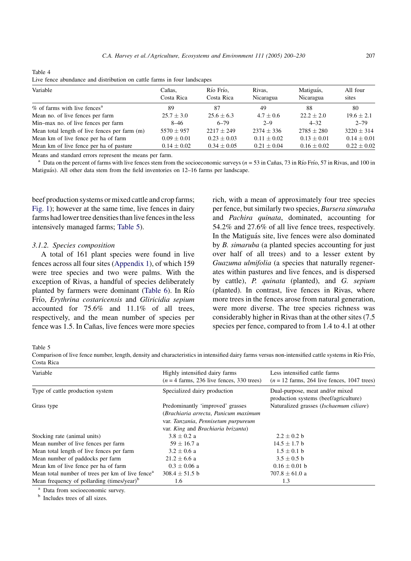| Variable                                      | Cañas.<br>Costa Rica | Río Frío.<br>Costa Rica | Rivas.<br>Nicaragua | Matiguás,<br>Nicaragua | All four<br>sites |
|-----------------------------------------------|----------------------|-------------------------|---------------------|------------------------|-------------------|
| % of farms with live fences <sup>a</sup>      | 89                   | 87                      | 49                  | 88                     | 80                |
| Mean no. of live fences per farm              | $25.7 \pm 3.0$       | $25.6 + 6.3$            | $4.7 + 0.6$         | $22.2 \pm 2.0$         | $19.6 \pm 2.1$    |
| Min-max no. of live fences per farm           | $8 - 46$             | $6 - 79$                | $2 - 9$             | $4 - 32$               | $2 - 79$          |
| Mean total length of live fences per farm (m) | $5570 + 957$         | $2217 + 249$            | $2374 \pm 336$      | $2785 + 280$           | $3220 \pm 314$    |
| Mean km of live fence per ha of farm          | $0.09 \pm 0.01$      | $0.23 + 0.03$           | $0.11 + 0.02$       | $0.13 \pm 0.01$        | $0.14 \pm 0.01$   |
| Mean km of live fence per ha of pasture       | $0.14 \pm 0.02$      | $0.34 \pm 0.05$         | $0.21 \pm 0.04$     | $0.16 \pm 0.02$        | $0.22 \pm 0.02$   |

<span id="page-7-0"></span>Table 4 Live fence abundance and distribution on cattle farms in four landscapes

Means and standard errors represent the means per farm.

<sup>a</sup> Data on the percent of farms with live fences stem from the socioeconomic surveys ( $n = 53$  in Cañas, 73 in Río Frío, 57 in Rivas, and 100 in Matiguás). All other data stem from the field inventories on 12–16 farms per landscape.

beef production systems or mixed cattle and crop farms; [Fig. 1\)](#page-8-0); however at the same time, live fences in dairy farms had lower tree densities than live fences in the less intensively managed farms; Table 5).

# 3.1.2. Species composition

A total of 161 plant species were found in live fences across all four sites [\(Appendix 1\)](#page-21-0), of which 159 were tree species and two were palms. With the exception of Rivas, a handful of species deliberately planted by farmers were dominant [\(Table 6\)](#page-9-0). In Río Frío, Erythrina costaricensis and Gliricidia sepium accounted for 75.6% and 11.1% of all trees, respectively, and the mean number of species per fence was 1.5. In Cañas, live fences were more species

rich, with a mean of approximately four tree species per fence, but similarly two species, Bursera simaruba and Pachira quinata, dominated, accounting for 54.2% and 27.6% of all live fence trees, respectively. In the Matiguás site, live fences were also dominated by B. simaruba (a planted species accounting for just over half of all trees) and to a lesser extent by Guazuma ulmifolia (a species that naturally regenerates within pastures and live fences, and is dispersed by cattle), P. quinata (planted), and G. sepium (planted). In contrast, live fences in Rivas, where more trees in the fences arose from natural generation, were more diverse. The tree species richness was considerably higher in Rivas than at the other sites (7.5 species per fence, compared to from 1.4 to 4.1 at other

Table 5

Comparison of live fence number, length, density and characteristics in intensified dairy farms versus non-intensified cattle systems in Rı´o Frı´o, Costa Rica

| Variable                                                     | Highly intensified dairy farms<br>$(n = 4$ farms, 236 live fences, 330 trees) | Less intensified cattle farms<br>$(n = 12$ farms, 264 live fences, 1047 trees) |
|--------------------------------------------------------------|-------------------------------------------------------------------------------|--------------------------------------------------------------------------------|
| Type of cattle production system                             | Specialized dairy production                                                  | Dual-purpose, meat and/or mixed<br>production systems (beef/agriculture)       |
| Grass type                                                   | Predominantly 'improved' grasses<br>(Brachiaria arrecta, Panicum maximum      | Naturalized grasses (Ischaemum ciliare)                                        |
|                                                              | var. Tanzania, Pennisetum purpureum<br>var. King and Brachiaria brizanta)     |                                                                                |
| Stocking rate (animal units)                                 | $3.8 \pm 0.2$ a                                                               | $2.2 + 0.2 h$                                                                  |
| Mean number of live fences per farm                          | $59 \pm 16.7$ a                                                               | $14.5 \pm 1.7$ b                                                               |
| Mean total length of live fences per farm                    | $3.2 \pm 0.6$ a                                                               | $1.5 \pm 0.1$ b                                                                |
| Mean number of paddocks per farm                             | $21.2 \pm 6.6$ a                                                              | $3.5 \pm 0.5$ b                                                                |
| Mean km of live fence per ha of farm                         | $0.3 \pm 0.06$ a                                                              | $0.16 \pm 0.01$ b                                                              |
| Mean total number of trees per km of live fence <sup>a</sup> | $308.4 \pm 51.5$ b                                                            | 707.8 $\pm$ 61.0 a                                                             |
| Mean frequency of pollarding (times/year) <sup>b</sup>       | 1.6                                                                           | 1.3                                                                            |

 $a<sup>b</sup>$  Data from socioeconomic survey.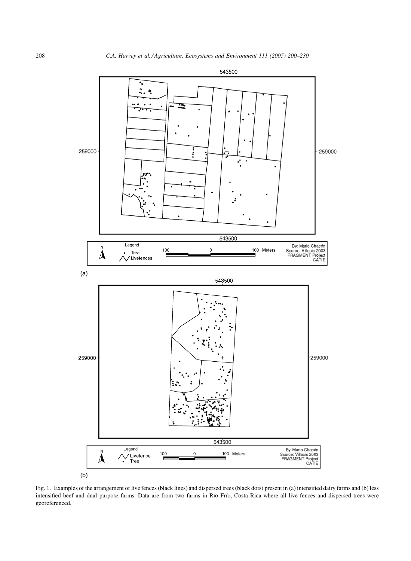<span id="page-8-0"></span>

Fig. 1. Examples of the arrangement of live fences (black lines) and dispersed trees (black dots) present in (a) intensified dairy farms and (b) less intensified beef and dual purpose farms. Data are from two farms in Río Frío, Costa Rica where all live fences and dispersed trees were georeferenced.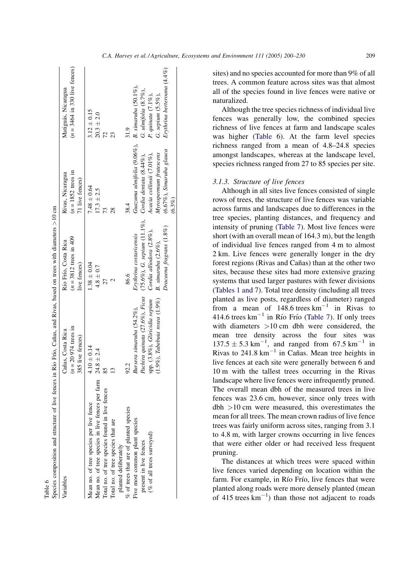<span id="page-9-0"></span>

| Species composition and structure of live fences in Río Frío, Cañas, and Rivas, based on trees with diameters $>10$ cm |                                      |                                                             |                                                 |                                 |
|------------------------------------------------------------------------------------------------------------------------|--------------------------------------|-------------------------------------------------------------|-------------------------------------------------|---------------------------------|
| Variables                                                                                                              | Cañas, Costa Rica                    | Río Frío, Costa Rica                                        | Rivas, Nicaragua                                | Matiguás, Nicaragua             |
|                                                                                                                        | $(n = 20974$ trees in                | $(n = 3812$ trees in 409                                    | $(n = 1852$ trees in                            | $(n = 3464$ in 330 live fences) |
|                                                                                                                        | 385 live fences)                     | live fences)                                                | 71 live fences)                                 |                                 |
| Mean no. of tree species per live fence                                                                                | $4.10 \pm 0.14$                      | $1.38 \pm 0.04$                                             | $7.48 \pm 0.64$                                 | $3.12 \pm 0.15$                 |
| Mean no. of tree species in live fences per farm $24.8 \pm 2.4$                                                        |                                      | $4.8 \pm 0.7$                                               | $17.3 \pm 2.5$                                  | $20.3 + 2.0$                    |
| Total no. of tree species found in live fences                                                                         |                                      |                                                             | 13                                              | 72                              |
| Total no. of tree species that are                                                                                     |                                      |                                                             | 28                                              |                                 |
| planted deliberately                                                                                                   |                                      |                                                             |                                                 |                                 |
| % of trees that are of planted species                                                                                 | 92.2                                 | 86.6                                                        | 38.4                                            | 31.9                            |
| Five most common plant species                                                                                         | Bursera simaruba (54.2%),            | Erythrina costaricensis                                     | Guazuma ulmifolia (9.06%), B. simaruba (50.1%), |                                 |
| present in live fences                                                                                                 | Pachira quinata (27.6%), Ficus       | $(75.6\%)$ , G. sepium (11.1%), Cordia dentata $(8.44\%)$ , |                                                 | G. ulmifolia (8.7%),            |
| (% of all trees surveyed)                                                                                              | spp. (3.8%), Gliricidia sepium       | Cordia alliodora (2.8%),                                    | Acacia collinsii (7.01%),                       | P. quinata (7.1%),              |
|                                                                                                                        | $(1.9\%)$ , Tabebuia rosea $(1.9\%)$ | B. simaruba (2.6%),                                         | Myrospermum frutescens                          | G. sepium (5.5%),               |
|                                                                                                                        |                                      | Dracaena fragrans (1.8%)                                    | (6.67%), Simaruba glauca                        | Erythrina berteroana (4.4%)     |
|                                                                                                                        |                                      |                                                             | $(6.3\%)$                                       |                                 |

able 6

sites) and no species accounted for more than 9% of all trees. A common feature across sites was that almost all of the species found in live fences were native or naturalized.

Although the tree species richness of individual live fences was generally low, the combined species richness of live fences at farm and landscape scales was higher (Table 6). At the farm level species richness ranged from a mean of 4.8–24.8 species amongst landscapes, whereas at the landscape level, species richness ranged from 27 to 85 species per site.

#### 3.1.3. Structure of live fences

Although in all sites live fences consisted of single rows of trees, the structure of live fences was variable across farms and landscapes due to differences in the tree species, planting distances, and frequency and intensity of pruning [\(Table 7](#page-10-0)). Most live fences were short (with an overall mean of 164.3 m), but the length of individual live fences ranged from 4 m to almost 2 km. Live fences were generally longer in the dry forest regions (Rivas and Cañas) than at the other two sites, because these sites had more extensive grazing systems that used larger pastures with fewer divisions ([Tables 1 and 7](#page-3-0)). Total tree density (including all trees planted as live posts, regardless of diameter) ranged from a mean of  $148.6$  trees km<sup>-1</sup> in Rivas to 414.6 trees  $km^{-1}$  in Río Frío [\(Table 7](#page-10-0)). If only trees with diameters  $>10$  cm dbh were considered, the mean tree density across the four sites was  $137.5 \pm 5.3 \text{ km}^{-1}$ , and ranged from 67.5 km<sup>-1</sup> in Rivas to  $241.8 \text{ km}^{-1}$  in Cañas. Mean tree heights in live fences at each site were generally between 6 and 10 m with the tallest trees occurring in the Rivas landscape where live fences were infrequently pruned. The overall mean dbh of the measured trees in live fences was 23.6 cm, however, since only trees with  $dbh > 10$  cm were measured, this overestimates the mean for all trees. The mean crown radius of live fence trees was fairly uniform across sites, ranging from 3.1 to 4.8 m, with larger crowns occurring in live fences that were either older or had received less frequent pruning.

The distances at which trees were spaced within live fences varied depending on location within the farm. For example, in Río Frío, live fences that were planted along roads were more densely planted (mean of  $415$  trees  $\text{km}^{-1}$ ) than those not adjacent to roads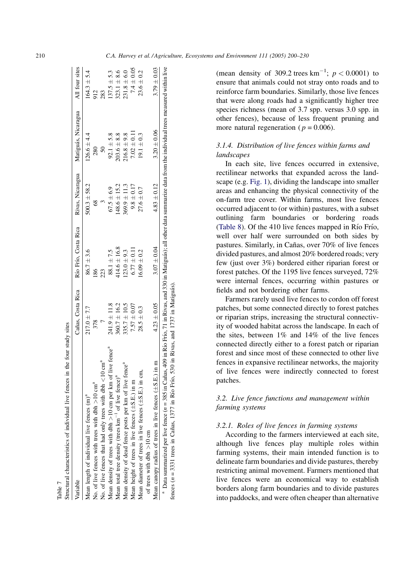<span id="page-10-0"></span>

| Variable                                                                  | Cañas, Costa Rica | Río Frío, Costa Rica Rivas, Nicaragua |                  | Matiguás, Nicaragua | All four sites  |
|---------------------------------------------------------------------------|-------------------|---------------------------------------|------------------|---------------------|-----------------|
| Mean length of individual live fences (m) <sup>a</sup>                    | $217.0 \pm 7.7$   | $86.7 \pm 3.6$                        | $500.3 \pm 58.2$ | $126.6 \pm 4.4$     | $64.3 \pm 5.4$  |
| No. of live fences with trees with dbh $>10$ cm <sup>a</sup>              | 378               | 86                                    | $\frac{8}{3}$    | 280                 | 912             |
| No. of live fences that had only trees with dbh $\lt 10$ cm <sup>a</sup>  |                   |                                       |                  | $50\,$              |                 |
| Mean density of trees with dbh $>10$ cm per km of live fence <sup>4</sup> | $241.9 \pm 11.8$  | $88.1 \pm 7.5$                        | $67.5 \pm 6.9$   | $92.1 \pm 5.8$      | $137.5 \pm 5.3$ |
| Mean total tree density (trees $km^{-1}$ of live fence) <sup>a</sup>      | $360.7 \pm 16.2$  | $414.6 \pm 16.8$                      | $48.6 \pm 15.2$  | $203.6 \pm 8.8$     | $323.1 \pm 8.6$ |
| Mean density of dead fence posts per km of live fence <sup>4</sup>        | $335.7 \pm 10.5$  | $123.0 \pm 9.3$                       | $369.9 \pm 11.3$ | $216.8 \pm 9.8$     | $231.8 \pm 6.0$ |
| Mean height of trees in live fences $(\pm S.E.)$ in m                     | $7.57 \pm 0.07$   | $6.77 \pm 0.11$                       | $9.8 \pm 0.17$   | $7.02 \pm 0.11$     | $7.4 \pm 0.05$  |
| Mean diameter of trees in live fences $(\pm S.E.)$ in cm,                 | $28.5 \pm 0.3$    | $6.09 \pm 0.2$                        | $27.6 \pm 0.7$   | $19.1 \pm 0.3$      | $23.6 \pm 0.2$  |
| of trees with dbh $>10$ cm                                                |                   |                                       |                  |                     |                 |
| Mean canopy radius of trees in live fences $(\pm S.E.)$ in m              | $4.23 \pm 0.05$   | $3.07 \pm 0.04$                       | $4.83 \pm 0.12$  | $3.20 \pm 0.06$     | $3.79 \pm 0.03$ |

Ī Table 7

(mean density of 309.2 trees  $km^{-1}$ ;  $p < 0.0001$ ) to ensure that animals could not stray onto roads and to reinforce farm boundaries. Similarly, those live fences that were along roads had a significantly higher tree species richness (mean of 3.7 spp. versus 3.0 spp. in other fences), because of less frequent pruning and more natural regeneration ( $p = 0.006$ ).

# 3.1.4. Distribution of live fences within farms and landscapes

In each site, live fences occurred in extensive, rectilinear networks that expanded across the landscape (e.g. [Fig. 1](#page-8-0)), dividing the landscape into smaller areas and enhancing the physical connectivity of the on-farm tree cover. Within farms, most live fences occurred adjacent to (or within) pastures, with a subset outlining farm boundaries or bordering roads ([Table 8\)](#page-11-0). Of the 410 live fences mapped in Río Frío, well over half were surrounded on both sides by pastures. Similarly, in Cañas, over 70% of live fences divided pastures, and almost 20% bordered roads; very few (just over 3%) bordered either riparian forest or forest patches. Of the 1195 live fences surveyed, 72% were internal fences, occurring within pastures or fields and not bordering other farms.

Farmers rarely used live fences to cordon off forest patches, but some connected directly to forest patches or riparian strips, increasing the structural connectivity of wooded habitat across the landscape. In each of the sites, between 1% and 14% of the live fences connected directly either to a forest patch or riparian forest and since most of these connected to other live fences in expansive rectilinear networks, the majority of live fences were indirectly connected to forest patches.

# 3.2. Live fence functions and management within farming systems

#### 3.2.1. Roles of live fences in farming systems

According to the farmers interviewed at each site, although live fences play multiple roles within farming systems, their main intended function is to delineate farm boundaries and divide pastures, thereby restricting animal movement. Farmers mentioned that live fences were an economical way to establish borders along farm boundaries and to divide pastures into paddocks, and were often cheaper than alternative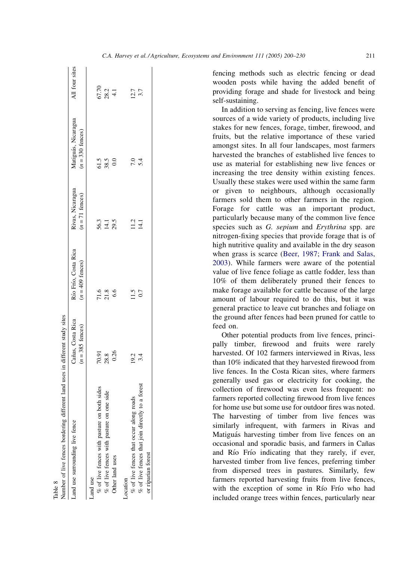<span id="page-11-0"></span>

| Land use surrounding live fence                   | Cañas, Costa Rica  | Río Frío, Costa Rica | Rivas, Nicaragua     | Matiguás, Nicaragua        | All four sites       |
|---------------------------------------------------|--------------------|----------------------|----------------------|----------------------------|----------------------|
|                                                   | $(n = 385$ fences) | $(n = 409$ fences)   | $(n = 71$ fences)    | $(n = 330 \text{ fences})$ |                      |
| and use                                           |                    |                      |                      |                            |                      |
| sides<br>% of live fences with pasture on both    | 70.91              |                      |                      |                            |                      |
| side<br>$\%$ of live fences with pasture on one   | 28.8<br>0.26       | 71.8<br>71.8<br>6.6  | 56.3<br>14.1<br>29.5 | $\frac{5}{38.5}$           | 67.70<br>28.2<br>4.1 |
| Other land uses                                   |                    |                      |                      |                            |                      |
| ocation                                           |                    |                      |                      |                            |                      |
| % of live fences that occur along roads           | 19.2               | 11.5                 | $11.2$<br>14.1       | 7.0                        | 12.7                 |
| $%$ of live fences that join directly to a forest | 3.4                | 0.7                  |                      | 5.4                        | 3.7                  |
| or riparian forest                                |                    |                      |                      |                            |                      |

Table 8

fencing methods such as electric fencing or dead wooden posts while having the added benefit of providing forage and shade for livestock and being self-sustaining.

In addition to serving as fencing, live fences were sources of a wide variety of products, including live stakes for new fences, forage, timber, firewood, and fruits, but the relative importance of these varied amongst sites. In all four landscapes, most farmers harvested the branches of established live fences to use as material for establishing new live fences or increasing the tree density within existing fences. Usually these stakes were used within the same farm or given to neighbours, although occasionally farmers sold them to other farmers in the region. Forage for cattle was an important product, particularly because many of the common live fence species such as G. sepium and Erythrina spp. are nitrogen-fixing species that provide forage that is of high nutritive quality and available in the dry season when grass is scarce ([Beer, 1987; Frank and Salas,](#page-28-0) [2003](#page-28-0)). While farmers were aware of the potential value of live fence foliage as cattle fodder, less than 10% of them deliberately pruned their fences to make forage available for cattle because of the large amount of labour required to do this, but it was general practice to leave cut branches and foliage on the ground after fences had been pruned for cattle to feed on.

Other potential products from live fences, principally timber, firewood and fruits were rarely harvested. Of 102 farmers interviewed in Rivas, less than 10% indicated that they harvested firewood from live fences. In the Costa Rican sites, where farmers generally used gas or electricity for cooking, the collection of firewood was even less frequent: no farmers reported collecting firewood from live fences for home use but some use for outdoor fires was noted. The harvesting of timber from live fences was similarly infrequent, with farmers in Rivas and Matiguás harvesting timber from live fences on an occasional and sporadic basis, and farmers in Cañas and Río Frío indicating that they rarely, if ever, harvested timber from live fences, preferring timber from dispersed trees in pastures. Similarly, few farmers reported harvesting fruits from live fences, with the exception of some in Río Frío who had included orange trees within fences, particularly near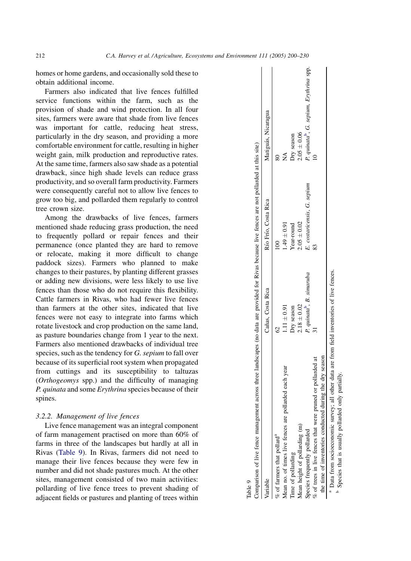<span id="page-12-0"></span>homes or home gardens, and occasionally sold these to obtain additional income.

Farmers also indicated that live fences fulfilled service functions within the farm, such as the provision of shade and wind protection. In all four sites, farmers were aware that shade from live fences was important for cattle, reducing heat stress, particularly in the dry season, and providing a more comfortable environment for cattle, resulting in higher weight gain, milk production and reproductive rates. At the same time, farmers also saw shade as a potential drawback, since high shade levels can reduce grass productivity, and so overall farm productivity. Farmers were consequently careful not to allow live fences to grow too big, and pollarded them regularly to control tree crown size.

Among the drawbacks of live fences, farmers mentioned shade reducing grass production, the need to frequently pollard or repair fences and their permanence (once planted they are hard to remove or relocate, making it more difficult to change paddock sizes). Farmers who planned to make changes to their pastures, by planting different grasses or adding new divisions, were less likely to use live fences than those who do not require this flexibility. Cattle farmers in Rivas, who had fewer live fences than farmers at the other sites, indicated that live fences were not easy to integrate into farms which rotate livestock and crop production on the same land, as pasture boundaries change from 1 year to the next. Farmers also mentioned drawbacks of individual tree species, such as the tendency for G. sepium to fall over because of its superficial root system when propagated from cuttings and its susceptibility to taltuzas (Orthogeomys spp.) and the difficulty of managing P. quinata and some Erythrina species because of their spines.

# 3.2.2. Management of live fences

Live fence management was an integral component of farm management practised on more than 60% of farms in three of the landscapes but hardly at all in Rivas (Table 9). In Rivas, farmers did not need to manage their live fences because they were few in number and did not shade pastures much. At the other sites, management consisted of two main activities: pollarding of live fence trees to prevent shading of adjacent fields or pastures and planting of trees within

| Table 9                                                                                                                                         |                                       |                             |                                                     |
|-------------------------------------------------------------------------------------------------------------------------------------------------|---------------------------------------|-----------------------------|-----------------------------------------------------|
| comparison of live fence management across three landscapes (no data are provided for Rivas because live fences are not pollarded at this site) |                                       |                             |                                                     |
| /ariable                                                                                                                                        | Cañas, Costa Rica                     | Río Frío, Costa Rica        | Matiguás, Nicaragua                                 |
| % of farmers that pollard <sup>a</sup>                                                                                                          |                                       |                             |                                                     |
| Mean no. of times live fences are pollarded each year                                                                                           | $1.11 \pm 0.91$                       | $1.49 \pm 0.91$             | ≸                                                   |
| l'ime of pollarding                                                                                                                             | Dry season                            | Year-round                  | Dry season                                          |
| Mean height of pollarding (m)                                                                                                                   | $2.18 \pm 0.02$                       | $2.05 \pm 0.02$             | $2.05 \pm 0.06$                                     |
| species frequently pollarded                                                                                                                    | P. quinata <sup>b</sup> , B. simaruba | E. costaricensis, G. sepium | P. quinata <sup>b</sup> , G. sepium, Erythrina spp. |
| $%$ of trees in live fences that were pruned or pollarded at                                                                                    |                                       |                             |                                                     |
| the time of inventories conducted during the dry season                                                                                         |                                       |                             |                                                     |
| <sup>a</sup> Data from socioeconomic survey; all other data are from field inventories of live fences.                                          |                                       |                             |                                                     |

Data from socioeconomic survey; all other data are from field inventories of live fences. b

Species that is usually pollarded only partially Species that is usually pollarded only partially.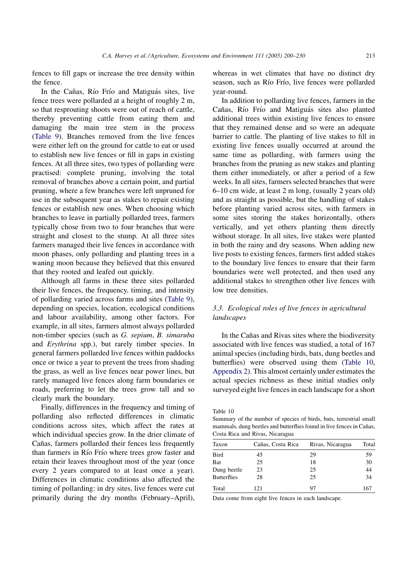fences to fill gaps or increase the tree density within the fence.

In the Cañas, Río Frío and Matiguás sites, live fence trees were pollarded at a height of roughly 2 m, so that resprouting shoots were out of reach of cattle, thereby preventing cattle from eating them and damaging the main tree stem in the process ([Table 9\)](#page-12-0). Branches removed from the live fences were either left on the ground for cattle to eat or used to establish new live fences or fill in gaps in existing fences. At all three sites, two types of pollarding were practised: complete pruning, involving the total removal of branches above a certain point, and partial pruning, where a few branches were left unpruned for use in the subsequent year as stakes to repair existing fences or establish new ones. When choosing which branches to leave in partially pollarded trees, farmers typically chose from two to four branches that were straight and closest to the stump. At all three sites farmers managed their live fences in accordance with moon phases, only pollarding and planting trees in a waning moon because they believed that this ensured that they rooted and leafed out quickly.

Although all farms in these three sites pollarded their live fences, the frequency, timing, and intensity of pollarding varied across farms and sites ([Table 9\)](#page-12-0), depending on species, location, ecological conditions and labour availability, among other factors. For example, in all sites, farmers almost always pollarded non-timber species (such as G. sepium, B. simaruba and Erythrina spp.), but rarely timber species. In general farmers pollarded live fences within paddocks once or twice a year to prevent the trees from shading the grass, as well as live fences near power lines, but rarely managed live fences along farm boundaries or roads, preferring to let the trees grow tall and so clearly mark the boundary.

Finally, differences in the frequency and timing of pollarding also reflected differences in climatic conditions across sites, which affect the rates at which individual species grow. In the drier climate of Cañas, farmers pollarded their fences less frequently than farmers in Río Frío where trees grow faster and retain their leaves throughout most of the year (once every 2 years compared to at least once a year). Differences in climatic conditions also affected the timing of pollarding: in dry sites, live fences were cut primarily during the dry months (February–April), whereas in wet climates that have no distinct dry season, such as Río Frío, live fences were pollarded year-round.

In addition to pollarding live fences, farmers in the Cañas, Río Frío and Matiguás sites also planted additional trees within existing live fences to ensure that they remained dense and so were an adequate barrier to cattle. The planting of live stakes to fill in existing live fences usually occurred at around the same time as pollarding, with farmers using the branches from the pruning as new stakes and planting them either immediately, or after a period of a few weeks. In all sites, farmers selected branches that were 6–10 cm wide, at least 2 m long, (usually 2 years old) and as straight as possible, but the handling of stakes before planting varied across sites, with farmers in some sites storing the stakes horizontally, others vertically, and yet others planting them directly without storage. In all sites, live stakes were planted in both the rainy and dry seasons. When adding new live posts to existing fences, farmers first added stakes to the boundary live fences to ensure that their farm boundaries were well protected, and then used any additional stakes to strengthen other live fences with low tree densities.

# 3.3. Ecological roles of live fences in agricultural landscapes

In the Cañas and Rivas sites where the biodiversity associated with live fences was studied, a total of 167 animal species (including birds, bats, dung beetles and butterflies) were observed using them (Table 10, [Appendix 2\)](#page-26-0). This almost certainly under estimates the actual species richness as these initial studies only surveyed eight live fences in each landscape for a short

Table 10

Summary of the number of species of birds, bats, terrestrial small mammals, dung beetles and butterflies found in live fences in Cañas, Costa Rica and Rivas, Nicaragua

| Taxon              | Cañas, Costa Rica | Rivas, Nicaragua | Total |
|--------------------|-------------------|------------------|-------|
| <b>Bird</b>        | 45                | 29               | 59    |
| Bat                | 25                | 18               | 30    |
| Dung beetle        | 23                | 25               | 44    |
| <b>Butterflies</b> | 28                | 25               | 34    |
| Total              | 121               | 97               | 167   |

Data come from eight live fences in each landscape.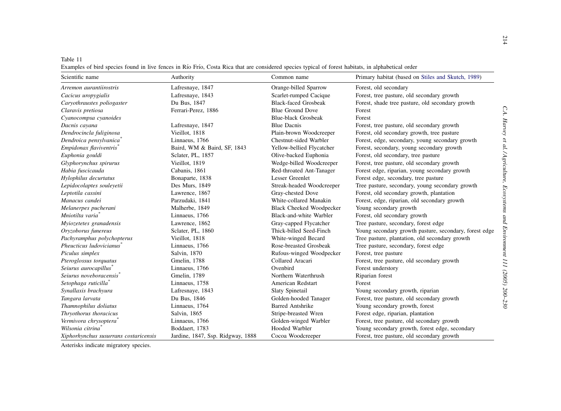| Table 11                                                                                                                                            |  |
|-----------------------------------------------------------------------------------------------------------------------------------------------------|--|
| Examples of bird species found in live fences in Río Frío, Costa Rica that are considered species typical of forest habitats, in alphabetical order |  |

<span id="page-14-0"></span>

| Table 11<br>Examples of bird species found in live fences in Río Frío, Costa Rica that are considered species typical of forest habitats, in alphabetical order |                                   |                                 |                                                        |
|-----------------------------------------------------------------------------------------------------------------------------------------------------------------|-----------------------------------|---------------------------------|--------------------------------------------------------|
| Scientific name                                                                                                                                                 | Authority                         | Common name                     | Primary habitat (based on Stiles and Skutch, 1989)     |
| Arremon aurantiirostris                                                                                                                                         | Lafresnaye, 1847                  | Orange-billed Sparrow           | Forest, old secondary                                  |
| Cacicus uropygialis                                                                                                                                             | Lafresnaye, 1843                  | Scarlet-rumped Cacique          | Forest, tree pasture, old secondary growth             |
| Caryothraustes poliogaster                                                                                                                                      | Du Bus, 1847                      | <b>Black-faced Grosbeak</b>     | Forest, shade tree pasture, old secondary growth       |
| Claravis pretiosa                                                                                                                                               | Ferrari-Perez, 1886               | <b>Blue Ground Dove</b>         | Forest                                                 |
| Cyanocompsa cyanoides                                                                                                                                           |                                   | <b>Blue-black Grosbeak</b>      | Forest                                                 |
| Dacnis cayana                                                                                                                                                   | Lafresnaye, 1847                  | <b>Blue Dacnis</b>              | Forest, tree pasture, old secondary growth             |
| Dendrocincla fuliginosa                                                                                                                                         | Vieillot, 1818                    | Plain-brown Woodcreeper         | Forest, old secondary growth, tree pasture             |
| Dendroica pensylvanica <sup>*</sup>                                                                                                                             | Linnaeus, 1766                    | Chestnut-sided Warbler          | Forest, edge, secondary, young secondary growth        |
| Empidonax flaviventris                                                                                                                                          | Baird, WM & Baird, SF, 1843       | Yellow-bellied Flycatcher       | Forest, secondary, young secondary growth              |
| Euphonia gouldi                                                                                                                                                 | Sclater, PL, 1857                 | Olive-backed Euphonia           | Forest, old secondary, tree pasture                    |
| Glyphorynchus spirurus                                                                                                                                          | Vieillot, 1819                    | Wedge-billed Woodcreeper        | Forest, tree pasture, old secondary growth             |
| Habia fuscicauda                                                                                                                                                | Cabanis, 1861                     | Red-throated Ant-Tanager        | Forest edge, riparian, young secondary growth          |
| Hylophilus decurtatus                                                                                                                                           | Bonaparte, 1838                   | Lesser Greenlet                 | Forest edge, secondary, tree pasture                   |
| Lepidocolaptes souleyetii                                                                                                                                       | Des Murs, 1849                    | Streak-headed Woodcreeper       | Tree pasture, secondary, young secondary growth        |
| Leptotila cassini                                                                                                                                               | Lawrence, 1867                    | Gray-chested Dove               | Forest, old secondary growth, plantation               |
| Manacus candei                                                                                                                                                  | Parzudaki, 1841                   | White-collared Manakin          | Forest, edge, riparian, old secondary growth           |
| Melanerpes pucherani                                                                                                                                            | Malherbe, 1849                    | <b>Black Cheeked Woodpecker</b> | Young secondary growth                                 |
| Mniotilta varia <sup>*</sup>                                                                                                                                    | Linnaeus, 1766                    | Black-and-white Warbler         | Forest, old secondary growth                           |
| Myiozetetes granadensis                                                                                                                                         | Lawrence, 1862                    | Gray-capped Flycatcher          | Tree pasture, secondary, forest edge                   |
| Oryzoborus funereus                                                                                                                                             | Sclater, PL, 1860                 | Thick-billed Seed-Finch         | Young secondary growth pasture, secondary, forest edge |
| Pachyramphus polychopterus                                                                                                                                      | Vieillot, 1818                    | White-winged Becard             | Tree pasture, plantation, old secondary growth         |
| Pheucticus ludovicianus <sup>®</sup>                                                                                                                            | Linnaeus, 1766                    | Rose-breasted Grosbeak          | Tree pasture, secondary, forest edge                   |
| Piculus simplex                                                                                                                                                 | Salvin, 1870                      | Rufous-winged Woodpecker        | Forest, tree pasture                                   |
| Pteroglossus torquatus                                                                                                                                          | Gmelin, 1788                      | Collared Aracari                | Forest, tree pasture, old secondary growth             |
| Seiurus aurocapillus                                                                                                                                            | Linnaeus, 1766                    | Ovenbird                        | Forest understory                                      |
| Sejurus noveboracensis <sup>*</sup>                                                                                                                             | Gmelin, 1789                      | Northern Waterthrush            | Riparian forest                                        |
| Setophaga ruticilla                                                                                                                                             | Linnaeus, 1758                    | American Redstart               | Forest                                                 |
| Synallaxis brachyura                                                                                                                                            | Lafresnaye, 1843                  | Slaty Spinetail                 | Young secondary growth, riparian                       |
| Tangara larvata                                                                                                                                                 | Du Bus, 1846                      | Golden-hooded Tanager           | Forest, tree pasture, old secondary growth             |
| Thamnophilus doliatus                                                                                                                                           | Linnaeus, 1764                    | <b>Barred Antshrike</b>         | Young secondary growth, forest                         |
| Thryothorus thoracicus                                                                                                                                          | Salvin, 1865                      | Stripe-breasted Wren            | Forest edge, riparian, plantation                      |
| Vermivora chrysoptera <sup>®</sup>                                                                                                                              | Linnaeus, 1766                    | Golden-winged Warbler           | Forest, tree pasture, old secondary growth             |
| Wilsonia citrina <sup>*</sup>                                                                                                                                   | Boddaert, 1783                    | Hooded Warbler                  | Young secondary growth, forest edge, secondary         |
| Xiphorhynchus susurrans costaricensis                                                                                                                           | Jardine, 1847, Ssp. Ridgway, 1888 | Cocoa Woodcreeper               | Forest, tree pasture, old secondary growth             |

Asterisks indicate migratory species.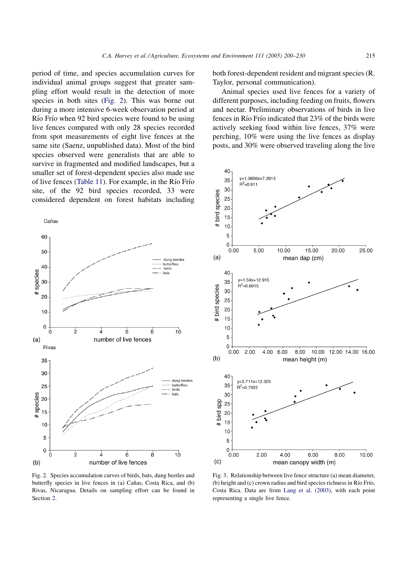<span id="page-15-0"></span>period of time, and species accumulation curves for individual animal groups suggest that greater sampling effort would result in the detection of more species in both sites (Fig. 2). This was borne out during a more intensive 6-week observation period at Río Frío when 92 bird species were found to be using live fences compared with only 28 species recorded from spot measurements of eight live fences at the same site (Saenz, unpublished data). Most of the bird species observed were generalists that are able to survive in fragmented and modified landscapes, but a smaller set of forest-dependent species also made use of live fences ([Table 11](#page-14-0)). For example, in the Rı´o Frı´o site, of the 92 bird species recorded, 33 were considered dependent on forest habitats including



both forest-dependent resident and migrant species (R. Taylor, personal communication).

Animal species used live fences for a variety of different purposes, including feeding on fruits, flowers and nectar. Preliminary observations of birds in live fences in Río Frío indicated that 23% of the birds were actively seeking food within live fences, 37% were perching, 10% were using the live fences as display posts, and 30% were observed traveling along the live



Fig. 2. Species accumulation curves of birds, bats, dung beetles and butterfly species in live fences in (a) Cañas, Costa Rica, and (b) Rivas, Nicaragua. Details on sampling effort can be found in Section [2](#page-2-0).

Fig. 3. Relationship between live fence structure (a) mean diameter, (b) height and (c) crown radius and bird species richness in Río Frío, Costa Rica. Data are from [Lang et al. \(2003\)](#page-29-0), with each point representing a single live fence.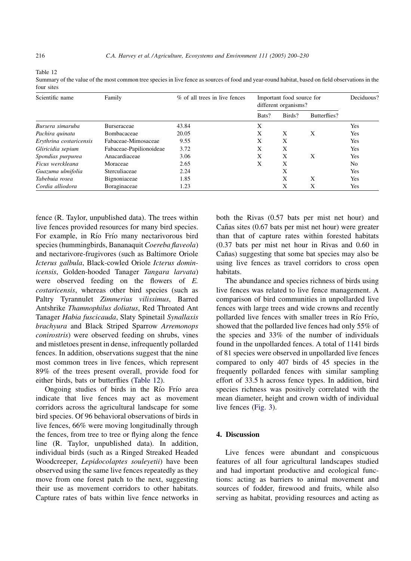Table 12

four sites Scientific name Family Family  $\%$  of all trees in live fences Important food source for different organisms? Deciduous? Bats? Birds? Butterflies?

Bursera simaruba Burseraceae 43.84 X Yes Pachira quinata Bombacaceae 20.05 X X X Yes Erythrina costaricensis Fabaceae-Mimosaceae 9.55 X X Yes Gliricidia sepium Fabaceae-Papilionoideae 3.72 X X Yes Spondias purpurea Anacardiaceae 3.06 X X X Yes Ficus werckleana Moraceae 2.65 X X No Guazuma ulmifolia Sterculiaceae 2.24 X Yes Tabebuia rosea Bignoniaceae 1.85 X X Yes Cordia alliodora Boraginaceae 1.23 X X Yes

Summary of the value of the most common tree species in live fence as sources of food and year-round habitat, based on field observations in the

| fence (R. Taylor, unpublished data). The trees within   |
|---------------------------------------------------------|
| live fences provided resources for many bird species.   |
| For example, in Río Frío many nectarivorous bird        |
| species (hummingbirds, Bananaquit Coereba flaveola)     |
| and nectarivore-frugivores (such as Baltimore Oriole    |
| Icterus galbula, Black-cowled Oriole Icterus domin-     |
| icensis, Golden-hooded Tanager Tangara larvata)         |
| were observed feeding on the flowers of E.              |
| costaricensis, whereas other bird species (such as      |
| Paltry Tyrannulet Zimmerius vilissimus, Barred          |
| Antshrike Thamnophilus doliatus, Red Throated Ant       |
| Tanager Habia fuscicauda, Slaty Spinetail Synallaxis    |
| brachyura and Black Striped Sparrow Arremonops          |
| conirostris) were observed feeding on shrubs, vines     |
| and mistletoes present in dense, infrequently pollarded |
| fences. In addition, observations suggest that the nine |
| most common trees in live fences, which represent       |
| 89% of the trees present overall, provide food for      |
| either birds, bats or butterflies (Table 12).           |

Ongoing studies of birds in the Río Frío area indicate that live fences may act as movement corridors across the agricultural landscape for some bird species. Of 96 behavioral observations of birds in live fences, 66% were moving longitudinally through the fences, from tree to tree or flying along the fence line (R. Taylor, unpublished data). In addition, individual birds (such as a Ringed Streaked Headed Woodcreeper, Lepidocolaptes souleyetii) have been observed using the same live fences repeatedly as they move from one forest patch to the next, suggesting their use as movement corridors to other habitats. Capture rates of bats within live fence networks in both the Rivas (0.57 bats per mist net hour) and Cañas sites (0.67 bats per mist net hour) were greater than that of capture rates within forested habitats (0.37 bats per mist net hour in Rivas and 0.60 in Cañas) suggesting that some bat species may also be using live fences as travel corridors to cross open habitats.

The abundance and species richness of birds using live fences was related to live fence management. A comparison of bird communities in unpollarded live fences with large trees and wide crowns and recently pollarded live fences with smaller trees in Río Frío, showed that the pollarded live fences had only 55% of the species and 33% of the number of individuals found in the unpollarded fences. A total of 1141 birds of 81 species were observed in unpollarded live fences compared to only 407 birds of 45 species in the frequently pollarded fences with similar sampling effort of 33.5 h across fence types. In addition, bird species richness was positively correlated with the mean diameter, height and crown width of individual live fences ([Fig. 3\)](#page-15-0).

# 4. Discussion

Live fences were abundant and conspicuous features of all four agricultural landscapes studied and had important productive and ecological functions: acting as barriers to animal movement and sources of fodder, firewood and fruits, while also serving as habitat, providing resources and acting as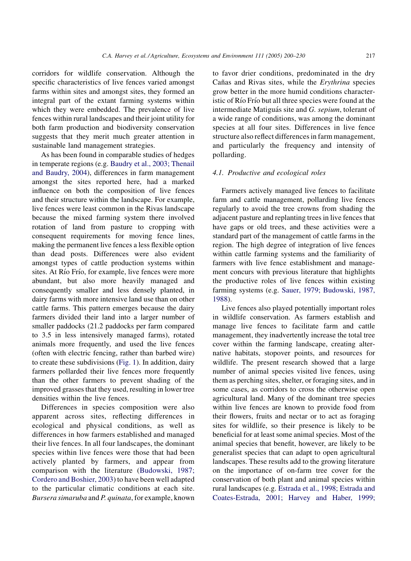corridors for wildlife conservation. Although the specific characteristics of live fences varied amongst farms within sites and amongst sites, they formed an integral part of the extant farming systems within which they were embedded. The prevalence of live fences within rural landscapes and their joint utility for both farm production and biodiversity conservation suggests that they merit much greater attention in sustainable land management strategies.

As has been found in comparable studies of hedges in temperate regions (e.g. [Baudry et al., 2003; Thenail](#page-28-0) [and Baudry, 2004](#page-28-0)), differences in farm management amongst the sites reported here, had a marked influence on both the composition of live fences and their structure within the landscape. For example, live fences were least common in the Rivas landscape because the mixed farming system there involved rotation of land from pasture to cropping with consequent requirements for moving fence lines, making the permanent live fences a less flexible option than dead posts. Differences were also evident amongst types of cattle production systems within sites. At Río Frío, for example, live fences were more abundant, but also more heavily managed and consequently smaller and less densely planted, in dairy farms with more intensive land use than on other cattle farms. This pattern emerges because the dairy farmers divided their land into a larger number of smaller paddocks (21.2 paddocks per farm compared to 3.5 in less intensively managed farms), rotated animals more frequently, and used the live fences (often with electric fencing, rather than barbed wire) to create these subdivisions [\(Fig. 1\)](#page-8-0). In addition, dairy farmers pollarded their live fences more frequently than the other farmers to prevent shading of the improved grasses that they used, resulting in lower tree densities within the live fences.

Differences in species composition were also apparent across sites, reflecting differences in ecological and physical conditions, as well as differences in how farmers established and managed their live fences. In all four landscapes, the dominant species within live fences were those that had been actively planted by farmers, and appear from comparison with the literature ([Budowski, 1987;](#page-28-0) [Cordero and Boshier, 2003](#page-28-0)) to have been well adapted to the particular climatic conditions at each site. Bursera simaruba and P. quinata, for example, known to favor drier conditions, predominated in the dry Cañas and Rivas sites, while the Erythrina species grow better in the more humid conditions characteristic of Río Frío but all three species were found at the intermediate Matiguás site and G. sepium, tolerant of a wide range of conditions, was among the dominant species at all four sites. Differences in live fence structure also reflect differences in farm management, and particularly the frequency and intensity of pollarding.

#### 4.1. Productive and ecological roles

Farmers actively managed live fences to facilitate farm and cattle management, pollarding live fences regularly to avoid the tree crowns from shading the adjacent pasture and replanting trees in live fences that have gaps or old trees, and these activities were a standard part of the management of cattle farms in the region. The high degree of integration of live fences within cattle farming systems and the familiarity of farmers with live fence establishment and management concurs with previous literature that highlights the productive roles of live fences within existing farming systems (e.g. [Sauer, 1979; Budowski, 1987,](#page-29-0) [1988\)](#page-29-0).

Live fences also played potentially important roles in wildlife conservation. As farmers establish and manage live fences to facilitate farm and cattle management, they inadvertently increase the total tree cover within the farming landscape, creating alternative habitats, stopover points, and resources for wildlife. The present research showed that a large number of animal species visited live fences, using them as perching sites, shelter, or foraging sites, and in some cases, as corridors to cross the otherwise open agricultural land. Many of the dominant tree species within live fences are known to provide food from their flowers, fruits and nectar or to act as foraging sites for wildlife, so their presence is likely to be beneficial for at least some animal species. Most of the animal species that benefit, however, are likely to be generalist species that can adapt to open agricultural landscapes. These results add to the growing literature on the importance of on-farm tree cover for the conservation of both plant and animal species within rural landscapes (e.g. [Estrada et al., 1998; Estrada and](#page-29-0) [Coates-Estrada, 2001; Harvey and Haber, 1999;](#page-29-0)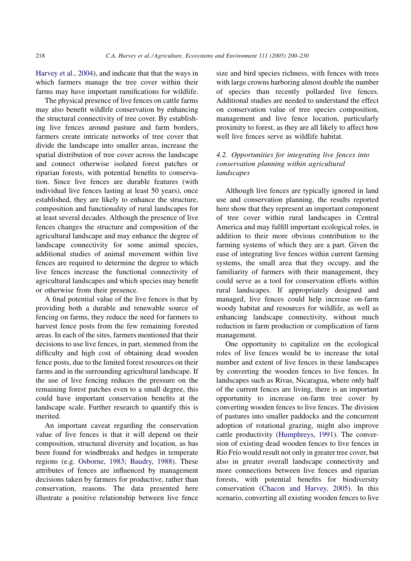[Harvey et al., 2004](#page-29-0)), and indicate that that the ways in which farmers manage the tree cover within their farms may have important ramifications for wildlife.

The physical presence of live fences on cattle farms may also benefit wildlife conservation by enhancing the structural connectivity of tree cover. By establishing live fences around pasture and farm borders, farmers create intricate networks of tree cover that divide the landscape into smaller areas, increase the spatial distribution of tree cover across the landscape and connect otherwise isolated forest patches or riparian forests, with potential benefits to conservation. Since live fences are durable features (with individual live fences lasting at least 50 years), once established, they are likely to enhance the structure, composition and functionality of rural landscapes for at least several decades. Although the presence of live fences changes the structure and composition of the agricultural landscape and may enhance the degree of landscape connectivity for some animal species, additional studies of animal movement within live fences are required to determine the degree to which live fences increase the functional connectivity of agricultural landscapes and which species may benefit or otherwise from their presence.

A final potential value of the live fences is that by providing both a durable and renewable source of fencing on farms, they reduce the need for farmers to harvest fence posts from the few remaining forested areas. In each of the sites, farmers mentioned that their decisions to use live fences, in part, stemmed from the difficulty and high cost of obtaining dead wooden fence posts, due to the limited forest resources on their farms and in the surrounding agricultural landscape. If the use of live fencing reduces the pressure on the remaining forest patches even to a small degree, this could have important conservation benefits at the landscape scale. Further research to quantify this is merited.

An important caveat regarding the conservation value of live fences is that it will depend on their composition, structural diversity and location, as has been found for windbreaks and hedges in temperate regions (e.g. [Osborne, 1983; Baudry, 1988](#page-29-0)). These attributes of fences are influenced by management decisions taken by farmers for productive, rather than conservation, reasons. The data presented here illustrate a positive relationship between live fence size and bird species richness, with fences with trees with large crowns harboring almost double the number of species than recently pollarded live fences. Additional studies are needed to understand the effect on conservation value of tree species composition, management and live fence location, particularly proximity to forest, as they are all likely to affect how well live fences serve as wildlife habitat.

# 4.2. Opportunities for integrating live fences into conservation planning within agricultural **landscapes**

Although live fences are typically ignored in land use and conservation planning, the results reported here show that they represent an important component of tree cover within rural landscapes in Central America and may fulfill important ecological roles, in addition to their more obvious contribution to the farming systems of which they are a part. Given the ease of integrating live fences within current farming systems, the small area that they occupy, and the familiarity of farmers with their management, they could serve as a tool for conservation efforts within rural landscapes. If appropriately designed and managed, live fences could help increase on-farm woody habitat and resources for wildlife, as well as enhancing landscape connectivity, without much reduction in farm production or complication of farm management.

One opportunity to capitalize on the ecological roles of live fences would be to increase the total number and extent of live fences in these landscapes by converting the wooden fences to live fences. In landscapes such as Rivas, Nicaragua, where only half of the current fences are living, there is an important opportunity to increase on-farm tree cover by converting wooden fences to live fences. The division of pastures into smaller paddocks and the concurrent adoption of rotational grazing, might also improve cattle productivity ([Humphreys, 1991\)](#page-29-0). The conversion of existing dead wooden fences to live fences in Río Frío would result not only in greater tree cover, but also in greater overall landscape connectivity and more connections between live fences and riparian forests, with potential benefits for biodiversity conservation ([Chacon and Harvey, 2005](#page-28-0)). In this scenario, converting all existing wooden fences to live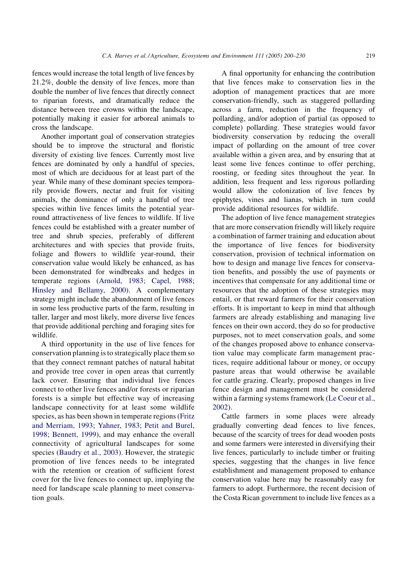fences would increase the total length of live fences by 21.2%, double the density of live fences, more than double the number of live fences that directly connect to riparian forests, and dramatically reduce the distance between tree crowns within the landscape, potentially making it easier for arboreal animals to cross the landscape.

Another important goal of conservation strategies should be to improve the structural and floristic diversity of existing live fences. Currently most live fences are dominated by only a handful of species, most of which are deciduous for at least part of the year. While many of these dominant species temporarily provide flowers, nectar and fruit for visiting animals, the dominance of only a handful of tree species within live fences limits the potential yearround attractiveness of live fences to wildlife. If live fences could be established with a greater number of tree and shrub species, preferably of different architectures and with species that provide fruits, foliage and flowers to wildlife year-round, their conservation value would likely be enhanced, as has been demonstrated for windbreaks and hedges in temperate regions [\(Arnold, 1983; Capel, 1988;](#page-28-0) [Hinsley and Bellamy, 2000\)](#page-28-0). A complementary strategy might include the abandonment of live fences in some less productive parts of the farm, resulting in taller, larger and most likely, more diverse live fences that provide additional perching and foraging sites for wildlife.

A third opportunity in the use of live fences for conservation planning is to strategically place them so that they connect remnant patches of natural habitat and provide tree cover in open areas that currently lack cover. Ensuring that individual live fences connect to other live fences and/or forests or riparian forests is a simple but effective way of increasing landscape connectivity for at least some wildlife species, as has been shown in temperate regions [\(Fritz](#page-29-0) [and Merriam, 1993; Yahner, 1983; Petit and Burel,](#page-29-0) [1998; Bennett, 1999\)](#page-29-0), and may enhance the overall connectivity of agricultural landscapes for some species [\(Baudry et al., 2003](#page-28-0)). However, the strategic promotion of live fences needs to be integrated with the retention or creation of sufficient forest cover for the live fences to connect up, implying the need for landscape scale planning to meet conservation goals.

A final opportunity for enhancing the contribution that live fences make to conservation lies in the adoption of management practices that are more conservation-friendly, such as staggered pollarding across a farm, reduction in the frequency of pollarding, and/or adoption of partial (as opposed to complete) pollarding. These strategies would favor biodiversity conservation by reducing the overall impact of pollarding on the amount of tree cover available within a given area, and by ensuring that at least some live fences continue to offer perching, roosting, or feeding sites throughout the year. In addition, less frequent and less rigorous pollarding would allow the colonization of live fences by epiphytes, vines and lianas, which in turn could provide additional resources for wildlife.

The adoption of live fence management strategies that are more conservation friendly will likely require a combination of farmer training and education about the importance of live fences for biodiversity conservation, provision of technical information on how to design and manage live fences for conservation benefits, and possibly the use of payments or incentives that compensate for any additional time or resources that the adoption of these strategies may entail, or that reward farmers for their conservation efforts. It is important to keep in mind that although farmers are already establishing and managing live fences on their own accord, they do so for productive purposes, not to meet conservation goals, and some of the changes proposed above to enhance conservation value may complicate farm management practices, require additional labour or money, or occupy pasture areas that would otherwise be available for cattle grazing. Clearly, proposed changes in live fence design and management must be considered within a farming systems framework ([Le Coeur et al.,](#page-29-0) [2002](#page-29-0)).

Cattle farmers in some places were already gradually converting dead fences to live fences, because of the scarcity of trees for dead wooden posts and some farmers were interested in diversifying their live fences, particularly to include timber or fruiting species, suggesting that the changes in live fence establishment and management proposed to enhance conservation value here may be reasonably easy for farmers to adopt. Furthermore, the recent decision of the Costa Rican government to include live fences as a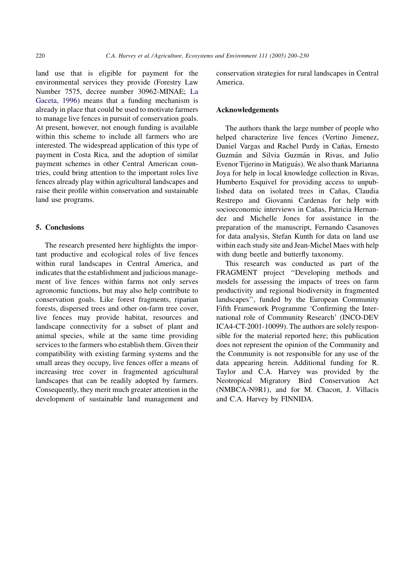land use that is eligible for payment for the environmental services they provide (Forestry Law Number 7575, decree number 30962-MINAE; [La](#page-29-0) [Gaceta, 1996](#page-29-0)) means that a funding mechanism is already in place that could be used to motivate farmers to manage live fences in pursuit of conservation goals. At present, however, not enough funding is available within this scheme to include all farmers who are interested. The widespread application of this type of payment in Costa Rica, and the adoption of similar payment schemes in other Central American countries, could bring attention to the important roles live fences already play within agricultural landscapes and raise their profile within conservation and sustainable land use programs.

# 5. Conclusions

The research presented here highlights the important productive and ecological roles of live fences within rural landscapes in Central America, and indicates that the establishment and judicious management of live fences within farms not only serves agronomic functions, but may also help contribute to conservation goals. Like forest fragments, riparian forests, dispersed trees and other on-farm tree cover, live fences may provide habitat, resources and landscape connectivity for a subset of plant and animal species, while at the same time providing services to the farmers who establish them. Given their compatibility with existing farming systems and the small areas they occupy, live fences offer a means of increasing tree cover in fragmented agricultural landscapes that can be readily adopted by farmers. Consequently, they merit much greater attention in the development of sustainable land management and conservation strategies for rural landscapes in Central America.

# Acknowledgements

The authors thank the large number of people who helped characterize live fences (Vertino Jimenez, Daniel Vargas and Rachel Purdy in Cañas, Ernesto Guzmán and Silvia Guzmán in Rivas, and Julio Evenor Tijerino in Matiguás). We also thank Marianna Joya for help in local knowledge collection in Rivas, Humberto Esquivel for providing access to unpublished data on isolated trees in Cañas, Claudia Restrepo and Giovanni Cardenas for help with socioeconomic interviews in Cañas, Patricia Hernandez and Michelle Jones for assistance in the preparation of the manuscript, Fernando Casanoves for data analysis, Stefan Kunth for data on land use within each study site and Jean-Michel Maes with help with dung beetle and butterfly taxonomy.

This research was conducted as part of the FRAGMENT project ''Developing methods and models for assessing the impacts of trees on farm productivity and regional biodiversity in fragmented landscapes'', funded by the European Community Fifth Framework Programme 'Confirming the International role of Community Research' (INCO-DEV ICA4-CT-2001-10099). The authors are solely responsible for the material reported here; this publication does not represent the opinion of the Community and the Community is not responsible for any use of the data appearing herein. Additional funding for R. Taylor and C.A. Harvey was provided by the Neotropical Migratory Bird Conservation Act (NMBCA-N9R1), and for M. Chacon, J. Villacis and C.A. Harvey by FINNIDA.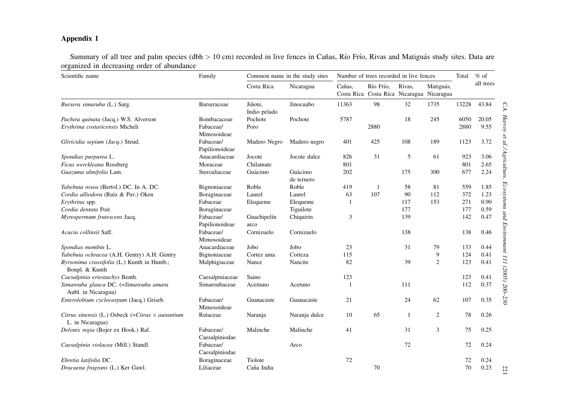# <span id="page-21-0"></span>Appendix 1

Summary of all tree and palm species (dbh > 10 cm) recorded in live fences in Cañas, Río Frío, Rivas and Matiguás study sites. Data are organized in decreasing order of abundance

| Scientific name                                                             | Family                      |                         | Common name in the study sites |        | Number of trees recorded in live fences                |        |                |       | $%$ of    |
|-----------------------------------------------------------------------------|-----------------------------|-------------------------|--------------------------------|--------|--------------------------------------------------------|--------|----------------|-------|-----------|
|                                                                             |                             | Costa Rica              | Nicaragua                      | Cañas. | Río Frío.<br>Costa Rica Costa Rica Nicaragua Nicaragua | Rivas. | Matiguás,      |       | all trees |
| Bursera simaruba (L.) Sarg.                                                 | <b>Burseraceae</b>          | Jiñote,<br>Indio pelado | Jinocuabo                      | 11363  | 98                                                     | 32     | 1735           | 13228 | 43.84     |
| Pachira quinata (Jacq.) W.S. Alverson                                       | Bombacaceae                 | Pochote                 | Pochote                        | 5787   |                                                        | 18     | 245            | 6050  | 20.05     |
| Erythrina costaricensis Micheli                                             | Fabaceae/<br>Mimosoideae    | Poro                    |                                |        | 2880                                                   |        |                | 2880  | 9.55      |
| Gliricidia sepium (Jacq.) Steud.                                            | Fabaceae/<br>Papilionoideae | Madero Negro            | Madero negro                   | 401    | 425                                                    | 108    | 189            | 1123  | 3.72      |
| Spondias purpurea L.                                                        | Anacardiaceae               | Jocote                  | Jocote dulce                   | 826    | 31                                                     | 5      | 61             | 923   | 3.06      |
| Ficus werckleana Rossberg                                                   | Moraceae                    | Chilamate               |                                | 801    |                                                        |        |                | 801   | 2.65      |
| Guazuma ulmifolia Lam.                                                      | Sterculiaceae               | Guácimo                 | Guácimo<br>de ternero          | 202    |                                                        | 175    | 300            | 677   | 2.24      |
| Tabebuia rosea (Bertol.) DC. In A. DC.                                      | Bignoniaceae                | Roble                   | Roble                          | 419    | $\overline{1}$                                         | 58     | 81             | 559   | 1.85      |
| Cordia alliodora (Ruiz & Pav.) Oken                                         | Boraginaceae                | Laurel                  | Laurel                         | 63     | 107                                                    | 90     | 112            | 372   | 1.23      |
| Erythrina spp.                                                              | Fabaceae                    | Elequeme                | Elequeme                       | 1      |                                                        | 117    | 153            | 271   | 0.90      |
| Cordia dentata Poir.                                                        | Boraginaceae                |                         | Tiguilote                      |        |                                                        | 177    |                | 177   | 0.59      |
| Myrospermum frutescens Jacq.                                                | Fabaceae/                   | Guachipelín             | Chiquirin                      | 3      |                                                        | 139    |                | 142   | 0.47      |
|                                                                             | Papilionoideae              | arco                    |                                |        |                                                        |        |                |       |           |
| Acacia collinsii Saff.                                                      | Fabaceae/<br>Mimosoideae    | Cornizuelo              | Cornizuelo                     |        |                                                        | 138    |                | 138   | 0.46      |
| Spondias mombin L.                                                          | Anacardiaceae               | Jobo                    | Jobo                           | 23     |                                                        | 31     | 79             | 133   | 0.44      |
| Tabebuia ochracea (A.H. Gentry) A.H. Gentry                                 | Bignoniaceae                | Cortez ama              | Corteza                        | 115    |                                                        |        | 9              | 124   | 0.41      |
| Byrsonima crassifolia (L.) Kunth in Humb.;<br>Bonpl. & Kunth                | Malphigiaceae               | Nance                   | Nancite                        | 82     |                                                        | 39     | $\overline{2}$ | 123   | 0.41      |
| Caesalpinia eriostachys Benth.                                              | Caesalpiniaceae             | Saino                   |                                | 123    |                                                        |        |                | 123   | 0.41      |
| Simarouba glauca DC. (=Simarouba amara<br>Aubl. in Nicaragua)               | Simaroubaceae               | Aceituno                | Acetuno                        | 1      |                                                        | 111    |                | 112   | 0.37      |
| Enterolobium cyclocarpum (Jacq.) Griseb.                                    | Fabaceae/<br>Mimosoideae    | Guanacaste              | Guanacaste                     | 21     |                                                        | 24     | 62             | 107   | 0.35      |
| Citrus sinensis (L.) Osbeck (=Citrus $\times$ aurantium<br>L. in Nicaragua) | Rutaceae                    | Naranja                 | Naranja dulce                  | 10     | 65                                                     | 1      | $\overline{c}$ | 78    | 0.26      |
| Delonix regia (Bojer ex Hook.) Raf.                                         | Fabaceae/<br>Caesalpiniodae | Malinche                | Malinche                       | 41     |                                                        | 31     | 3              | 75    | 0.25      |
| Caesalpinia violacea (Mill.) Standl.                                        | Fabaceae/<br>Caesalpiniodae |                         | Arco                           |        |                                                        | 72     |                | 72    | 0.24      |
| Ehretia latifolia DC.                                                       | Boraginaceae                | Tiolote                 |                                | 72     |                                                        |        |                | 72    | 0.24      |
| Dracaena fragrans (L.) Ker Gawl.                                            | Liliaceae                   | Caña India              |                                |        | 70                                                     |        |                | 70    | 0.23      |

221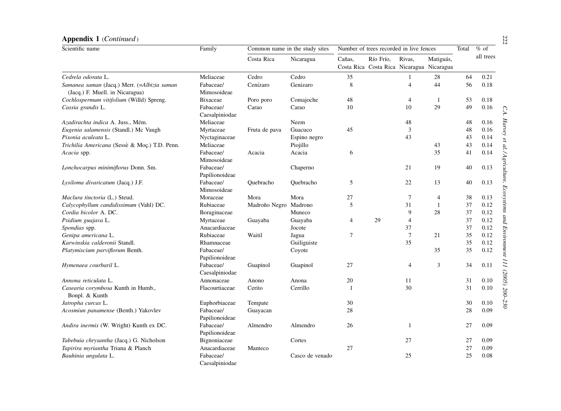| Scientific name                                                                | Family                        |               | Common name in the study sites | Number of trees recorded in live fences |                                                        |                 |                | Total    | $%$ of       |
|--------------------------------------------------------------------------------|-------------------------------|---------------|--------------------------------|-----------------------------------------|--------------------------------------------------------|-----------------|----------------|----------|--------------|
|                                                                                |                               | Costa Rica    | Nicaragua                      | Cañas.                                  | Río Frío.<br>Costa Rica Costa Rica Nicaragua Nicaragua | Rivas,          | Matiguás,      |          | all trees    |
| Cedrela odorata L.                                                             | Meliaceae                     | Cedro         | Cedro                          | 35                                      |                                                        | 1               | 28             | 64       | 0.21         |
| Samanea saman (Jacq.) Merr. (=Albizia saman<br>(Jacq.) F. Muell. in Nicaragua) | Fabaceae/<br>Mimosoideae      | Cenízaro      | Genizaro                       | 8                                       |                                                        | $\overline{4}$  | 44             | 56       | 0.18         |
| Cochlospermum vitifolium (Willd) Spreng.                                       | Bixaceae                      | Poro poro     | Comajoche                      | 48                                      |                                                        | $\overline{4}$  | $\mathbf{1}$   | 53       | 0.18         |
| Cassia grandis L.                                                              | Fabaceae/<br>Caesalpiniodae   | Carao         | Carao                          | 10                                      |                                                        | 10              | 29             | 49       | 0.16         |
| Azadirachta indica A. Juss., Mém.                                              | Meliaceae                     |               | Neem                           |                                         |                                                        | 48              |                | 48       | 0.16         |
| Eugenia salamensis (Standl.) Mc Vaugh                                          | Myrtaceae                     | Fruta de pava | Guacuco                        | 45                                      |                                                        | $\mathfrak{Z}$  |                | 48       | 0.16         |
| Pisonia aculeata L.                                                            | Nyctaginaceae                 |               | Espino negro                   |                                         |                                                        | 43              |                | 43       | 0.14         |
| Trichilia Americana (Sessè & Moç.) T.D. Penn.                                  | Meliaceae                     |               | Piojillo                       |                                         |                                                        |                 | 43             | 43       | 0.14         |
| Acacia spp.                                                                    | Fabaceae/<br>Mimosoideae      | Acacia        | Acacia                         | 6                                       |                                                        |                 | 35             | 41       | 0.14         |
| Lonchocarpus minimiflorus Donn. Sm.                                            | Fabaceae/<br>Papilionoideae   |               | Chaperno                       |                                         |                                                        | 21              | 19             | 40       | 0.13         |
| Lysiloma divaricatum (Jacq.) J.F.                                              | Fabaceae/<br>Mimosoideae      | Ouebracho     | Ouebracho                      | 5                                       |                                                        | 22              | 13             | 40       | 0.13         |
| Maclura tinctoria (L.) Steud.                                                  | Moraceae                      | Mora          | Mora                           | 27                                      |                                                        | 7               | $\overline{4}$ | 38       | 0.13         |
| Calycophyllum candidissimum (Vahl) DC.                                         | Rubiaceae                     | Madroño Negro | Madrono                        | 5                                       |                                                        | 31              | $\mathbf{1}$   | 37       | 0.12         |
| Cordia bicolor A. DC.                                                          | Boraginaceae                  |               | Muneco                         |                                         |                                                        | 9               | 28             | 37       | 0.12         |
| Psidium guajava L.                                                             | Myrtaceae                     | Guayaba       | Guayaba                        | $\overline{4}$                          | 29                                                     | $\overline{4}$  |                | 37       | 0.12         |
| Spondias spp.                                                                  | Anacardiaceae                 |               | Jocote                         |                                         |                                                        | 37              |                | 37       | 0.12         |
| Genipa americana L.                                                            | Rubiaceae                     | Waitil        | Jagua                          | $\overline{7}$                          |                                                        | $7\phantom{.0}$ | 21             | 35       | 0.12         |
| Karwinskia calderonii Standl.                                                  | Rhamnaceae                    |               | Guiliguiste                    |                                         |                                                        | 35              |                | 35       | 0.12         |
| Platymiscium parviflorum Benth.                                                | Fabaceae/<br>Papilionoideae   |               | Coyote                         |                                         |                                                        |                 | 35             | 35       | 0.12         |
| Hymenaea courbaril L.                                                          | Fabaceae/<br>Caesalpiniodae   | Guapinol      | Guapinol                       | 27                                      |                                                        | $\overline{4}$  | 3              | 34       | 0.11         |
| Annona reticulata L.                                                           | Annonaceae                    | Anono         | Anona                          | 20                                      |                                                        | 11              |                | 31       | 0.10         |
| Casearia corymbosa Kunth in Humb.,<br>Bonpl. & Kunth                           | Flacourtiaceae                | Cerito        | Cerrillo                       | $\overline{1}$                          |                                                        | 30              |                | 31       | 0.10         |
| Jatropha curcas L.                                                             | Euphorbiaceae                 | Tempate       |                                | 30                                      |                                                        |                 |                | 30       | 0.10         |
| Acosmiun panamense (Benth.) Yakovlev                                           | Fabaceae/<br>Papilionoideae   | Guayacan      |                                | 28                                      |                                                        |                 |                | 28       | 0.09         |
| Andira inermis (W. Wright) Kunth ex DC.                                        | Fabaceae/<br>Papilionoideae   | Almendro      | Almendro                       | 26                                      |                                                        | 1               |                | 27       | 0.09         |
| Tabebuia chrysantha (Jacq.) G. Nicholson<br>Tapirira myriantha Triana & Planch | Bignoniaceae<br>Anacardiaceae | Manteco       | Cortes                         | 27                                      |                                                        | 27              |                | 27<br>27 | 0.09<br>0.09 |
| Bauhinia ungulata L.                                                           | Fabaceae/<br>Caesalpiniodae   |               | Casco de venado                |                                         |                                                        | 25              |                | 25       | 0.08         |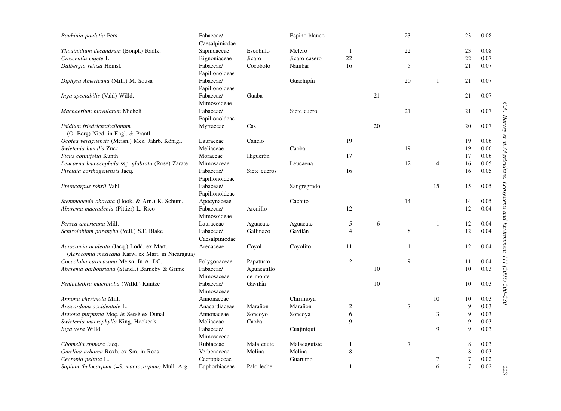| Bauhinia pauletia Pers.                                                                       | Fabaceae/<br>Caesalpiniodae |              | Espino blanco |                |    | 23              |                | 23             | 0.08 |
|-----------------------------------------------------------------------------------------------|-----------------------------|--------------|---------------|----------------|----|-----------------|----------------|----------------|------|
| Thouinidium decandrum (Bonpl.) Radlk.                                                         | Sapindaceae                 | Escobillo    | Melero        | 1              |    | 22              |                | 23             | 0.08 |
| Crescentia cujete L.                                                                          | Bignoniaceae                | Jícaro       | Jícaro casero | 22             |    |                 |                | 22             | 0.07 |
| Dalbergia retusa Hemsl.                                                                       | Fabaceae/<br>Papilionoideae | Cocobolo     | Nambar        | 16             |    | 5               |                | 21             | 0.07 |
| Diphysa Americana (Mill.) M. Sousa                                                            | Fabaceae/<br>Papilionoideae |              | Guachipín     |                |    | 20              | $\mathbf{1}$   | 21             | 0.07 |
| Inga spectabilis (Vahl) Willd.                                                                | Fabaceae/<br>Mimosoideae    | Guaba        |               |                | 21 |                 |                | 21             | 0.07 |
| Machaerium biovulatum Micheli                                                                 | Fabaceae/<br>Papilionoideae |              | Siete cuero   |                |    | 21              |                | 21             | 0.07 |
| Psidium friedrichsthalianum<br>(O. Berg) Nied. in Engl. & Prantl                              | Myrtaceae                   | Cas          |               |                | 20 |                 |                | 20             | 0.07 |
| Ocotea veraguensis (Meisn.) Mez, Jahrb. Königl.                                               | Lauraceae                   | Canelo       |               | 19             |    |                 |                | 19             | 0.06 |
| Swietenia humilis Zucc.                                                                       | Meliaceae                   |              | Caoba         |                |    | 19              |                | 19             | 0.06 |
| Ficus cotinifolia Kunth                                                                       | Moraceae                    | Higuerón     |               | 17             |    |                 |                | 17             | 0.06 |
| Leucaena leucocephala ssp. glabrata (Rose) Zárate                                             | Mimosaceae                  |              | Leucaena      |                |    | 12              | $\overline{4}$ | 16             | 0.05 |
| Piscidia carthagenensis Jacq.                                                                 | Fabaceae/<br>Papilionoideae | Siete cueros |               | 16             |    |                 |                | 16             | 0.05 |
| Pterocarpus rohrii Vahl                                                                       | Fabaceae/<br>Papilionoideae |              | Sangregrado   |                |    |                 | 15             | 15             | 0.05 |
| Stemmadenia obovata (Hook. & Arn.) K. Schum.                                                  | Apocynaceae                 |              | Cachito       |                |    | 14              |                | 14             | 0.05 |
| Abarema macradenia (Pittier) L. Rico                                                          | Fabaceae/<br>Mimosoideae    | Arenillo     |               | 12             |    |                 |                | 12             | 0.04 |
| Persea americana Mill.                                                                        | Lauraceae                   | Aguacate     | Aguacate      | 5              | 6  |                 | $\mathbf{1}$   | 12             | 0.04 |
| Schizolobium parahyba (Vell.) S.F. Blake                                                      | Fabaceae/<br>Caesalpiniodae | Gallinazo    | Gavilán       | $\overline{4}$ |    | 8               |                | 12             | 0.04 |
| Acrocomia aculeata (Jacq.) Lodd. ex Mart.<br>(Acrocomia mexicana Karw. ex Mart. in Nicaragua) | Arecaceae                   | Coyol        | Coyolito      | 11             |    | 1               |                | 12             | 0.04 |
| Coccoloba caracasana Meisn. In A. DC.                                                         | Polygonaceae                | Papaturro    |               | 2              |    | 9               |                | 11             | 0.04 |
| Abarema barbouriana (Standl.) Barneby & Grime                                                 | Fabaceae/                   | Aguacatillo  |               |                | 10 |                 |                | 10             | 0.03 |
|                                                                                               | Mimosaceae                  | de monte     |               |                |    |                 |                |                |      |
| Pentaclethra macroloba (Willd.) Kuntze                                                        | Fabaceae/<br>Mimosaceae     | Gavilán      |               |                | 10 |                 |                | 10             | 0.03 |
| Annona cherimola Mill.                                                                        | Annonaceae                  |              | Chirimoya     |                |    |                 | 10             | 10             | 0.03 |
| Anacardium occidentale L.                                                                     | Anacardiaceae               | Marañon      | Marañon       | $\mathbf{2}$   |    | $\tau$          |                | $\mathbf{Q}$   | 0.03 |
| Annona purpurea Moç. & Sessé ex Dunal                                                         | Annonaceae                  | Soncoyo      | Soncoya       | 6              |    |                 | 3              | 9              | 0.03 |
| Swietenia macrophylla King, Hooker's                                                          | Meliaceae                   | Caoba        |               | 9              |    |                 |                | 9              | 0.03 |
| Inga vera Willd.                                                                              | Fabaceae/<br>Mimosaceae     |              | Cuajiniquil   |                |    |                 | $\mathbf{Q}$   | 9              | 0.03 |
| Chomelia spinosa Jacq.                                                                        | Rubiaceae                   | Mala caute   | Malacaguiste  | 1              |    | $7\phantom{.0}$ |                | 8              | 0.03 |
| Gmelina arborea Roxb. ex Sm. in Rees                                                          | Verbenaceae.                | Melina       | Melina        | 8              |    |                 |                | 8              | 0.03 |
| Cecropia peltata L.                                                                           | Cecropiaceae                |              | Guarumo       |                |    |                 | 7              | $\overline{7}$ | 0.02 |
| Sapium thelocarpum (=S. macrocarpum) Müll. Arg.                                               | Euphorbiaceae               | Palo leche   |               | $\mathbf{1}$   |    |                 | 6              | $\overline{7}$ | 0.02 |

C.A. Harvey et al./Agriculture, Ecosystems and Environment 111 (2005) 200-230 C.A. Harvey et al. / Agriculture, Ecosystems and Environment 111 (2005) 200–230

223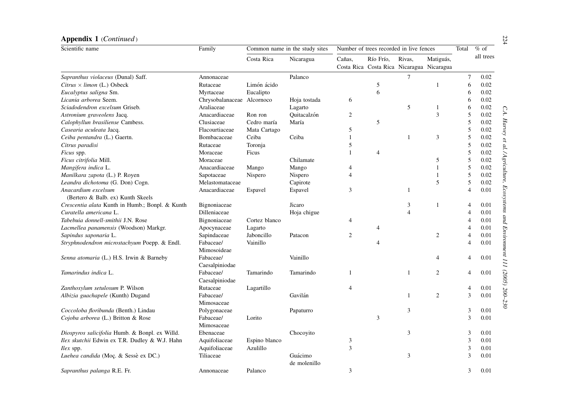| Scientific name                                 | Family                      |               | Common name in the study sites | Number of trees recorded in live fences |                                                        |                |                | Total          | $%$ of    |
|-------------------------------------------------|-----------------------------|---------------|--------------------------------|-----------------------------------------|--------------------------------------------------------|----------------|----------------|----------------|-----------|
|                                                 |                             | Costa Rica    | Nicaragua                      | Cañas,                                  | Río Frío,<br>Costa Rica Costa Rica Nicaragua Nicaragua | Rivas,         | Matiguás,      |                | all trees |
| Sapranthus violaceus (Dunal) Saff.              | Annonaceae                  |               | Palanco                        |                                         |                                                        | 7              |                | $\tau$         | 0.02      |
| Citrus $\times$ limon (L.) Osbeck               | Rutaceae                    | Limón ácido   |                                |                                         | 5                                                      |                | $\mathbf{1}$   | 6              | 0.02      |
| Eucalyptus saligna Sm.                          | Myrtaceae                   | Eucalipto     |                                |                                         | 6                                                      |                |                | 6              | 0.02      |
| Licania arborea Seem.                           | Chrysobalanaceae            | Alcornoco     | Hoja tostada                   | 6                                       |                                                        |                |                | 6              | 0.02      |
| Sciadodendron excelsum Griseb.                  | Araliaceae                  |               | Lagarto                        |                                         |                                                        | 5              | 1              | 6              | 0.02      |
| Astronium graveolens Jacq.                      | Anacardiaceae               | Ron ron       | Ouitacalzón                    | $\overline{2}$                          |                                                        |                | 3              | 5              | 0.02      |
| Calophyllun brasiliense Cambess.                | Clusiaceae                  | Cedro maría   | María                          |                                         | 5                                                      |                |                | 5              | 0.02      |
| Casearia aculeata Jacq.                         | Flacourtiaceae              | Mata Cartago  |                                | 5                                       |                                                        |                |                | 5              | 0.02      |
| Ceiba pentandra (L.) Gaertn.                    | Bombacaceae                 | Ceiba         | Ceiba                          | $\mathbf{1}$                            |                                                        | 1              | 3              | 5              | 0.02      |
| Citrus paradisi                                 | Rutaceae                    | Toronja       |                                | 5                                       |                                                        |                |                | 5              | 0.02      |
| <i>Ficus</i> spp.                               | Moraceae                    | Ficus         |                                | $\mathbf{1}$                            | $\overline{4}$                                         |                |                | 5              | 0.02      |
| Ficus citrifolia Mill.                          | Moraceae                    |               | Chilamate                      |                                         |                                                        |                | 5              | 5              | 0.02      |
| Mangifera indica L.                             | Anacardiaceae               | Mango         | Mango                          | 4                                       |                                                        |                | $\mathbf{1}$   | 5              | 0.02      |
| Manilkara zapota (L.) P. Royen                  | Sapotaceae                  | Nispero       | Nispero                        | $\overline{4}$                          |                                                        |                | $\mathbf{1}$   | 5              | 0.02      |
| Leandra dichotoma (G. Don) Cogn.                | Melastomataceae             |               | Capirote                       |                                         |                                                        |                | 5              | 5              | 0.02      |
| Anacardium excelsum                             | Anacardiaceae               | Espavel       | Espavel                        | 3                                       |                                                        | 1              |                | $\overline{4}$ | 0.01      |
| (Bertero & Balb. ex) Kunth Skeels               |                             |               |                                |                                         |                                                        |                |                |                |           |
| Crescentia alata Kunth in Humb.; Bonpl. & Kunth | Bignoniaceae                |               | Jicaro                         |                                         |                                                        | 3              | $\mathbf{1}$   | $\overline{4}$ | 0.01      |
| Curatella americana L.                          | Dilleniaceae                |               | Hoja chigue                    |                                         |                                                        | $\overline{4}$ |                | $\overline{4}$ | 0.01      |
| Tabebuia donnell-smithii J.N. Rose              | Bignoniaceae                | Cortez blanco |                                | 4                                       |                                                        |                |                | $\overline{4}$ | 0.01      |
| Lacmellea panamensis (Woodson) Markgr.          | Apocynaceae                 | Lagarto       |                                |                                         | $\overline{4}$                                         |                |                | $\overline{4}$ | 0.01      |
| Sapindus saponaria L.                           | Sapindaceae                 | Jaboncillo    | Patacon                        | $\boldsymbol{2}$                        |                                                        |                | $\overline{c}$ | $\overline{4}$ | 0.01      |
| Stryphnodendron microstachyum Poepp. & Endl.    | Fabaceae/<br>Mimosoideae    | Vainillo      |                                |                                         | $\overline{4}$                                         |                |                | $\overline{4}$ | 0.01      |
| Senna atomaria (L.) H.S. Irwin & Barneby        | Fabaceae/<br>Caesalpiniodae |               | Vainillo                       |                                         |                                                        |                | $\overline{4}$ | $\overline{4}$ | 0.01      |
| Tamarindus indica L.                            | Fabaceae/<br>Caesalpiniodae | Tamarindo     | Tamarindo                      | 1                                       |                                                        | 1              | $\overline{2}$ | $\overline{4}$ | 0.01      |
| Zanthoxylum setulosum P. Wilson                 | Rutaceae                    | Lagartillo    |                                | $\overline{4}$                          |                                                        |                |                | 4              | 0.01      |
| Albizia guachapele (Kunth) Dugand               | Fabaceae/<br>Mimosaceae     |               | Gavilán                        |                                         |                                                        | 1              | $\overline{c}$ | 3              | 0.01      |
| Coccoloba floribunda (Benth.) Lindau            | Polygonaceae                |               | Papaturro                      |                                         |                                                        | 3              |                | 3              | 0.01      |
| Cojoba arborea (L.) Britton & Rose              | Fabaceae/                   | Lorito        |                                |                                         | 3                                                      |                |                | 3              | 0.01      |
|                                                 | Mimosaceae                  |               |                                |                                         |                                                        |                |                |                |           |
| Diospyros salicifolia Humb. & Bonpl. ex Willd.  | Ebenaceae                   |               | Chocoyito                      |                                         |                                                        | 3              |                | 3              | 0.01      |
| Ilex skutchii Edwin ex T.R. Dudley & W.J. Hahn  | Aquifoliaceae               | Espino blanco |                                | 3                                       |                                                        |                |                | 3              | 0.01      |
| $llex$ spp.                                     | Aquifoliaceae               | Azulillo      |                                | 3                                       |                                                        |                |                | 3              | 0.01      |
| Luehea candida (Moç. & Sessè ex DC.)            | Tiliaceae                   |               | Guácimo                        |                                         |                                                        | 3              |                | 3              | 0.01      |
|                                                 |                             |               | de molenillo                   |                                         |                                                        |                |                |                |           |
| Sapranthus palanga R.E. Fr.                     | Annonaceae                  | Palanco       |                                | 3                                       |                                                        |                |                | 3              | 0.01      |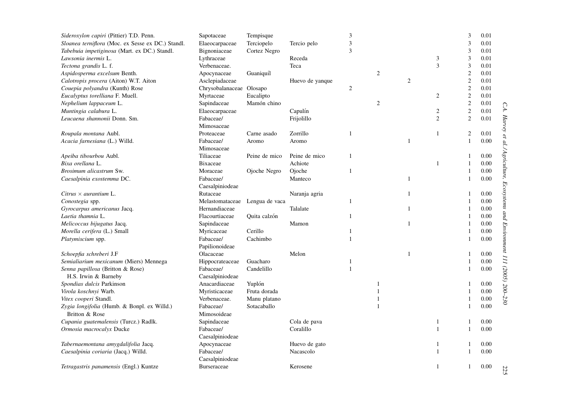| Sideroxylon capiri (Pittier) T.D. Penn.           | Sapotaceae               | Tempisque      |                 | 3            |                |                |                | $\mathfrak{Z}$ | 0.01 |                                                                               |
|---------------------------------------------------|--------------------------|----------------|-----------------|--------------|----------------|----------------|----------------|----------------|------|-------------------------------------------------------------------------------|
| Sloanea terniflora (Moc. ex Sesse ex DC.) Standl. | Elaeocarpaceae           | Terciopelo     | Tercio pelo     | 3            |                |                |                | $\mathfrak{Z}$ | 0.01 |                                                                               |
| Tabebuia impetiginosa (Mart. ex DC.) Standl.      | Bignoniaceae             | Cortez Negro   |                 | 3            |                |                |                | 3              | 0.01 |                                                                               |
| Lawsonia inermis L.                               | Lythraceae               |                | Receda          |              |                |                | 3              | 3              | 0.01 |                                                                               |
| Tectona grandis L. f.                             | Verbenaceae.             |                | Teca            |              |                |                | 3              | $\mathfrak{Z}$ | 0.01 |                                                                               |
| Aspidosperma excelsum Benth.                      | Apocynaceae              | Guaniquíl      |                 |              | $\mathfrak{2}$ |                |                | $\sqrt{2}$     | 0.01 |                                                                               |
| Calotropis procera (Aiton) W.T. Aiton             | Asclepiadaceae           |                | Huevo de yanque |              |                | $\overline{c}$ |                | $\overline{2}$ | 0.01 |                                                                               |
| Couepia polyandra (Kunth) Rose                    | Chrysobalanaceae Olosapo |                |                 | $\sqrt{2}$   |                |                |                | $\sqrt{2}$     | 0.01 |                                                                               |
| Eucalyptus torelliana F. Muell.                   | Myrtaceae                | Eucalipto      |                 |              |                |                | 2              | $\sqrt{2}$     | 0.01 |                                                                               |
| Nephelium lappaceum L.                            | Sapindaceae              | Mamón chino    |                 |              | $\overline{c}$ |                |                | $\overline{2}$ | 0.01 |                                                                               |
| Muntingia calabura L.                             | Elaeocarpaceae           |                | Capulín         |              |                |                | 2              | $\sqrt{2}$     | 0.01 |                                                                               |
| Leucaena shannonii Donn. Sm.                      | Fabaceae/                |                | Frijolillo      |              |                |                | $\overline{2}$ | $\overline{2}$ | 0.01 |                                                                               |
|                                                   | Mimosaceae               |                |                 |              |                |                |                |                |      |                                                                               |
| Roupala montana Aubl.                             | Proteaceae               | Carne asado    | Zorrillo        | 1            |                |                | 1              | $\overline{c}$ | 0.01 |                                                                               |
| Acacia farnesiana (L.) Willd.                     | Fabaceae/                | Aromo          | Aromo           |              |                | $\overline{1}$ |                | $\mathbf{1}$   | 0.00 |                                                                               |
|                                                   | Mimosaceae               |                |                 |              |                |                |                |                |      |                                                                               |
| Apeiba tibourbou Aubl.                            | Tiliaceae                | Peine de mico  | Peine de mico   | 1            |                |                |                | -1             | 0.00 |                                                                               |
| Bixa orellana L.                                  | Bixaceae                 |                | Achiote         |              |                |                | $\mathbf{1}$   | 1              | 0.00 |                                                                               |
| Brosimum alicastrum Sw.                           | Moraceae                 | Ojoche Negro   | Ojoche          | 1            |                |                |                | $\mathbf{1}$   | 0.00 |                                                                               |
| Caesalpinia exostemma DC.                         | Fabaceae/                |                | Manteco         |              |                | $\mathbf{1}$   |                | 1              | 0.00 |                                                                               |
|                                                   | Caesalpiniodeae          |                |                 |              |                |                |                |                |      |                                                                               |
| Citrus $\times$ aurantium L.                      | Rutaceae                 |                | Naranja agria   |              |                | $\mathbf{1}$   |                |                | 0.00 | C.A. Harvey et al./Agriculture, Ecosystems and Environment 111 (2005) 200-230 |
| Conostegia spp.                                   | Melastomataceae          | Lengua de vaca |                 | 1            |                |                |                | -1             | 0.00 |                                                                               |
| Gyrocarpus americanus Jacq.                       | Hernandiaceae            |                | Talalate        |              |                | 1              |                | 1              | 0.00 |                                                                               |
| Laetia thamnia L.                                 | Flacourtiaceae           | Quita calzón   |                 | 1            |                |                |                | $\mathbf{1}$   | 0.00 |                                                                               |
| Melicoccus bijugatus Jacq.                        | Sapindaceae              |                | Mamon           |              |                | $\mathbf{1}$   |                | 1              | 0.00 |                                                                               |
| Morella cerifera (L.) Small                       | Myricaceae               | Cerillo        |                 | $\mathbf{1}$ |                |                |                | $\mathbf{1}$   | 0.00 |                                                                               |
| Platymiscium spp.                                 | Fabaceae/                | Cachimbo       |                 | 1            |                |                |                | 1              | 0.00 |                                                                               |
|                                                   | Papilionoideae           |                |                 |              |                |                |                |                |      |                                                                               |
| Schoepfia schreberi J.F                           | Olacaceae                |                | Melon           |              |                | $\mathbf{1}$   |                | $\mathbf{1}$   | 0.00 |                                                                               |
| Semialiarium mexicanum (Miers) Mennega            | Hippocrateaceae          | Guacharo       |                 |              |                |                |                |                | 0.00 |                                                                               |
| Senna papillosa (Britton & Rose)                  | Fabaceae/                | Candelillo     |                 | 1            |                |                |                | 1              | 0.00 |                                                                               |
| H.S. Irwin & Barneby                              | Caesalpiniodeae          |                |                 |              |                |                |                |                |      |                                                                               |
| Spondias dulcis Parkinson                         | Anacardiaceae            | Yuplón         |                 |              | 1              |                |                | 1              | 0.00 |                                                                               |
| Virola koschnyi Warb.                             | Myristicaceae            | Fruta dorada   |                 |              | 1              |                |                | 1              | 0.00 |                                                                               |
| Vitex cooperi Standl.                             | Verbenaceae.             | Manu platano   |                 |              | 1              |                |                | $\mathbf{1}$   | 0.00 |                                                                               |
| Zygia longifolia (Humb. & Bonpl. ex Willd.)       | Fabaceae/                | Sotacaballo    |                 |              | $\mathbf{1}$   |                |                | $\mathbf{1}$   | 0.00 |                                                                               |
| Britton & Rose                                    | Mimosoideae              |                |                 |              |                |                |                |                |      |                                                                               |
| Cupania guatemalensis (Turcz.) Radlk.             | Sapindaceae              |                | Cola de pava    |              |                |                | 1              | $\mathbf{1}$   | 0.00 |                                                                               |
| Ormosia macrocalyx Ducke                          | Fabaceae/                |                | Coralillo       |              |                |                | $\mathbf{1}$   | $\mathbf{1}$   | 0.00 |                                                                               |
|                                                   | Caesalpiniodeae          |                |                 |              |                |                |                |                |      |                                                                               |
| Tabernaemontana amygdalifolia Jacq.               | Apocynaceae              |                | Huevo de gato   |              |                |                | 1              | $\mathbf{1}$   | 0.00 |                                                                               |
| Caesalpinia coriaria (Jacq.) Willd.               | Fabaceae/                |                | Nacascolo       |              |                |                | $\mathbf{1}$   | $\mathbf{1}$   | 0.00 |                                                                               |
|                                                   | Caesalpiniodeae          |                |                 |              |                |                |                |                |      |                                                                               |
| Tetragastris panamensis (Engl.) Kuntze            | <b>Burseraceae</b>       |                | Kerosene        |              |                |                | 1              | 1              | 0.00 |                                                                               |
|                                                   |                          |                |                 |              |                |                |                |                |      | 22                                                                            |

225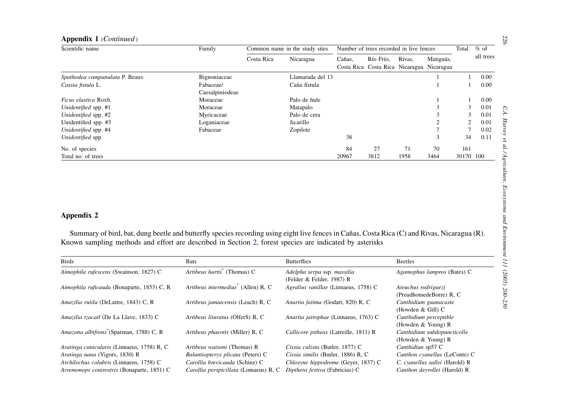<span id="page-26-0"></span>

| Scientific name                                                                                                                                                                                                                                                              | Family                                         |            | Common name in the study sites                           |        | Number of trees recorded in live fences                |                     |                             | Total          | $%$ of    |
|------------------------------------------------------------------------------------------------------------------------------------------------------------------------------------------------------------------------------------------------------------------------------|------------------------------------------------|------------|----------------------------------------------------------|--------|--------------------------------------------------------|---------------------|-----------------------------|----------------|-----------|
|                                                                                                                                                                                                                                                                              |                                                | Costa Rica | Nicaragua                                                | Cañas, | Río Frío,<br>Costa Rica Costa Rica Nicaragua Nicaragua | Rivas,              | Matiguás,                   |                | all trees |
| Spathodea campanulata P. Beauv.                                                                                                                                                                                                                                              | Bignoniaceae                                   |            | Llamarada del 13                                         |        |                                                        |                     |                             | 1              | 0.00      |
| Cassia fistula L.                                                                                                                                                                                                                                                            | Fabaceae/<br>Caesalpiniodeae                   |            | Caña fístula                                             |        |                                                        |                     |                             |                | 0.00      |
| Ficus elastica Roxb.                                                                                                                                                                                                                                                         | Moraceae                                       |            | Palo de hule                                             |        |                                                        |                     |                             |                | 0.00      |
| Unidentified spp. #1                                                                                                                                                                                                                                                         | Moraceae                                       |            | Matapalo                                                 |        |                                                        |                     | 3                           | 3              | 0.01      |
| Unidentified spp. #2                                                                                                                                                                                                                                                         | Myricaceae                                     |            | Palo de cera                                             |        |                                                        |                     | 3                           | 3              | 0.01      |
| Unidentified spp. #3                                                                                                                                                                                                                                                         | Loganiaceae                                    |            | Jicarillo                                                |        |                                                        |                     | $\overline{2}$              | $\overline{2}$ | 0.01      |
| Unidentified spp. #4                                                                                                                                                                                                                                                         | Fabaceae                                       |            | Zopilote                                                 |        |                                                        |                     | $\tau$                      | $\tau$         | 0.02      |
| Unidentified spp.                                                                                                                                                                                                                                                            |                                                |            |                                                          | 38     |                                                        |                     | 3                           | 34             | 0.11      |
| No. of species                                                                                                                                                                                                                                                               |                                                |            |                                                          | 84     | 27                                                     | 71                  | 70                          | 161            |           |
| Total no. of trees                                                                                                                                                                                                                                                           |                                                |            |                                                          | 20967  | 3812                                                   | 1958                | 3464                        | 30170 100      |           |
| <b>Appendix 2</b><br>Summary of bird, bat, dung beetle and butterfly species recording using eight live fences in Cañas, Costa Rica (C) and Rivas, Nicaragua (R).<br>Known sampling methods and effort are described in Section 2, forest species are indicated by asterisks |                                                |            |                                                          |        |                                                        |                     |                             |                |           |
| <b>Birds</b>                                                                                                                                                                                                                                                                 | <b>Bats</b>                                    |            | <b>Butterflies</b>                                       |        |                                                        | <b>Beetles</b>      |                             |                |           |
| Aimophila rufescens (Swainson, 1827) C                                                                                                                                                                                                                                       | Artibeus hartii <sup>*</sup> (Thomas) C        |            | Adelpha serpa ssp. massilia<br>(Felder & Felder, 1987) R |        |                                                        |                     | Agamophus lampros (Bates) C |                |           |
| Aimophila ruficauda (Bonaparte, 1853) C, R                                                                                                                                                                                                                                   | Artibeus intermedius <sup>*</sup> (Allen) R, C |            | Agralius vanillae (Linnaeus, 1758) C                     |        |                                                        | Ateuchus rodriguezi | (PreudhomedeBorre) R, C     |                |           |
| Amazilia rutila (DeLattre, 1843) C, R                                                                                                                                                                                                                                        | Artibeus jamaicensis (Leach) R, C              |            | Anartia fatima (Godart, 820) R, C                        |        |                                                        | (Howden & Gill) C   | Canthidium guanacaste       |                |           |

| <b>Birds</b>                                        | Bats                                           | <b>Butterflies</b>                                       | Beetles                                              |
|-----------------------------------------------------|------------------------------------------------|----------------------------------------------------------|------------------------------------------------------|
| Aimophila rufescens (Swainson, 1827) C              | Artibeus hartii <sup>*</sup> (Thomas) C        | Adelpha serpa ssp. massilia<br>(Felder & Felder, 1987) R | Agamophus lampros (Bates) C                          |
| Aimophila ruficauda (Bonaparte, 1853) C, R          | Artibeus intermedius <sup>*</sup> (Allen) R, C | Agralius vanillae (Linnaeus, 1758) C                     | Ateuchus rodriguezi<br>(PreudhomedeBorre) R, C       |
| Amazilia rutila (DeLattre, 1843) C, R               | Artibeus jamaicensis (Leach) R, C              | Anartia fatima (Godart, 820) R, C                        | Canthidium guanacaste<br>(Howden $&$ Gill) $&$       |
| Amazilia tzacatl (De La Llave, 1833) C              | Artibeus lituratus (OlferS) R, C               | Anartia jatrophae (Linnaeus, 1763) C                     | Canthidium perceptible<br>(Howden $&$ Young) R       |
| Amazona albifrons <sup>*</sup> (Sparman, 1788) C, R | Artibeus phaeotis (Miller) R, C                | Callicore pitheas (Latreille, 1811) R                    | Canthidium subdopuncticolle<br>(Howden $& Young$ ) R |
| Aratinga canicularis (Linnaeus, 1758) R, C          | Artibeus watsoni (Thomas) R                    | Cissia calixta (Butler, 1877) C                          | Canthidiun sp57 C                                    |
| Aratinga nana (Vigors, 1830) R                      | Balantiopteryx plicata (Peters) C              | Cissia similis (Butler, 1886) R, C                       | Canthon cyanellus (LeConte) C                        |
| Archilochus colubris (Linnaeus, 1758) C             | Carollia brevicauda (Schinz) C                 | Chlosyne hippodrome (Geyer, 1837) C                      | C. cyanellus sallei (Harold) R                       |
| Arremonops conirostris (Bonaparte, 1851) C          | Carollia perspicillata (Linnaeus) R, C         | Dipthera festiva (Fabricius) C                           | Canthon devrollei (Harold) R                         |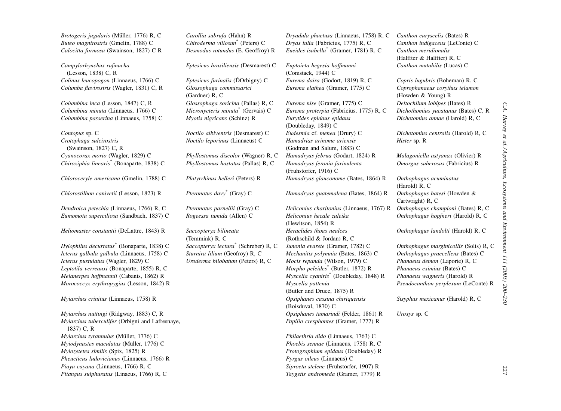Brotogeris jugularis (Müller, 1776) R, C Carollia subrufa (Hahn) R Dryadula phaetusa (Linnaeus, 1758) R, C Canthon euryscelis (Bates) R

Campylorhynchus rufinucha (Lesson, 1838) C, R Colinus leucopogon (Linnaeus, 1766) C Columba flavirostris (Wagler, 1831) C, R Glossophaga commissarici

Columbina inca (Lesson, 1847) C. R. Columbina minuta (Linnaeus, 1766) C Columbina passerina (Linnaeus, 1758) C Myotis nigricans (Schinz) R Eurytides epidaus epidaus

Crotophaga sulcirostris (Swainson, 1827) C, R Chiroxiphia linearis\* (Bonaparte, 1838) <sup>C</sup> Phyllostomus hastatus (Pallas) R, <sup>C</sup> Hamadryas feronia farinulenta

Chlorostilbon canivetii (Lesson, 1823) R

Dendroica petechia (Linnaeus, 1766) R, C Pteronotus parnellii (Gray) C Heliconius charitonius (Linnaeus, 1767) R Onthophagus championi (Bates) R, C Eumomota superciliosa (Sandbach, 1837) C Rogeessa tumida (Allen) C Heliconius hecale zuleika

Heliomaster constantii (DeLattre, 1843) R

Icterus galbula galbula (Linnaeus, 1758) C Sturnira lilium (Geofroy) R, C Mechanitis polymnia (Bates, 1863) C Onthophagus praecellens (Bates) C Icterus pustulatus (Wagler, 1829) C Uroderma bilobatum (Peters) R, C Mocis repanda (Wilson, 1979) C Phanaeus demon (Laporte) R, C Leptotila verreauxi (Bonaparte, 1855) R, C Morpho peleides\* (Butler, 1872) R Phanaeus eximius (Bates) C Melanerpes hoffmannii (Cabanis, 1862) R Myscelia cyaniris<sup>\*</sup> (Doubleday, 1848) R Phanaeus wagneris (Harold) R Morococcyx erythropygius (Lesson, 1842) R Myscelia pattenia

Myiarchus crinitus (Linnaeus, 1758) R Opsiphanes cassina chiriquensis

Myiarchus tuberculifer (Orbigni and Lafresnaye, 1837) C, R Myiarchus tyrannulus (Müller, 1776) C Charles (Philaethria dido (Linnaeus, 1763) C Myiodynastes maculatus (Müller, 1776) C Christianus, 2008 C Phoebis sennae (Linnaeus, 1758) R, C Myiozetetes similis (Spix, 1825) R Protographium epidaus (Doubleday) R Pheucticus ludovicianus (Linnaeus, 1766) R Piaya cayana (Linnaeus, 1766) R, C Siproeta stelene (Fruhstorfer, 1907) R Pitangus sulphuratus (Linaeus, 1766) R, C<br>
Taygetis andromeda (Gramer, 1779) R

Eptesicus brasiliensis (Desmarest) C Euptoieta hegesia hoffmanni

´ (Gardner) R, C  $G$ lossophaga soricina (Pallas) R, C Eurema nise (Gramer, 1775) C Deltochilum lobipes (Bates) R

Noctilo leporinus (Linnaeus) C Hamadrias arinome ariensis

Saccopteryx bilineata (Temmink) R, C

Buteo magnirostris (Gmelin, 1788) <sup>C</sup> Chiroderma villosun\* (Peters) <sup>C</sup> Dryas iulia (Fabricius, 1775) R, <sup>C</sup> Canthon indigaceus (LeConte) <sup>C</sup> Calocitta formosa (Swainson, 1827) <sup>C</sup> <sup>R</sup> Desmodus rotundus (E. Geoffroy) <sup>R</sup> Eueides isabella\* (Gramer, 1781) R, <sup>C</sup> Canthon meridionalis

> (Comstack, 1944) C Eurema daira (Godort, 1819) R, C Copris lugubris (Boheman) R, C Eurema elathea (Gramer, 1775) C

Micronycteris minuta<sup>\*</sup> (Gervais) C Eurema proterpia (Fabricius, 1775) R, C Dichothomius yucatanus (Bates) C, R (Doubleday, 1849) C Contopus sp. C Noctilo albiventris (Desmarest) C Eudesmia cf. menea (Drury) C Dichotomius centralis (Harold) R, C (Godman and Salum, 1883) C Cyanocorax morio (Wagler, 1829) C Phyllostomus discolor (Wagner) R, C Hamadryas februa (Godart, 1824) R Malagoniella astyanax (Olivier) R (Fruhstorfer, 1916) C Chloroceryle americana (Gmelin, 1788) C Platyrrhinus helleri (Peters) R Hamadryas glauconome (Bates, 1864) R Onthophagus acuminatus Pteronotus davy<sup>\*</sup> (Gray) C *Hamadryas guatemalena* (Bates, 1864) R *Onthophagus batesi* (Howden & (Hewitson, 1854) R Heraclides thoas nealces(Rothschild & Jordan) R, C Hylophilus decurtatus<sup>\*</sup> (Bonaparte, 1838) C Saccopteryx lectura<sup>\*</sup> (Schreber) R, C Junonia evarete (Gramer, 1782) C Onthophagus marginicollis (Solis) R, C (Butler and Druce, 1875) R (Boisduval, 1870) C Myiarchus nuttingi (Ridgway, 1883) C, R **Opsiphanes tamarindi (Felder, 1861) R** Uroxys sp. C Papilio cresphontes (Gramer, 1777) R

Pyrgus oileus (Linnaeus) C

(Halffter & Halffter) R, C Canthon mutabilis (Lucas) C

Coprophanaeus corythus telamon (Howden & Young) R Dichotomius annae (Harold) R, C

Hister sp. R

Omorgus suberosus (Fabricius) R

(Harold) R, C Cartwright) R, C Onthophagus hopfneri (Harold) R, C

Onthophagus landolti (Harold) R, C

Pseudocanthon perplexum (LeConte) R

Sisyphus mexicanus (Harold) R, C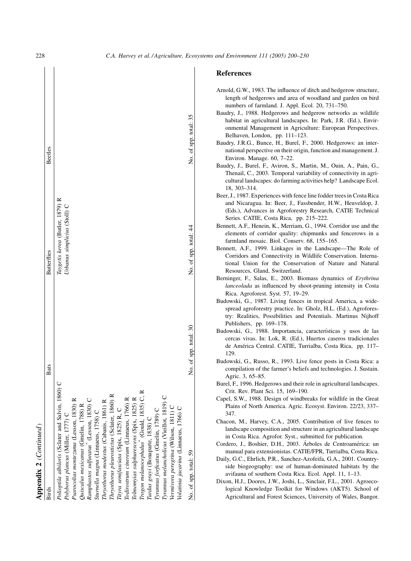| ۱ |
|---|
|   |
|   |

<span id="page-28-0"></span>

| Appendix 2 (Continued)                               |                       |                                 |                       |
|------------------------------------------------------|-----------------------|---------------------------------|-----------------------|
| <b>Birds</b>                                         | <b>Bats</b>           | <b>Butterflies</b>              | <b>Beetles</b>        |
| 1860) C<br>Polioptila albiloris (Sclater and Salvin, |                       | Taygetis kerea (Butler, 1879) R |                       |
| Polyborus plancus (Miller, 1777) C                   |                       | Urbanus simplicius (Stoll) C    |                       |
| Psarocolius montezuma (Lesson, 1830) R               |                       |                                 |                       |
| Quiscalus mexicanus (Gmelin, 1788) R                 |                       |                                 |                       |
| Ramphastos sulfuratus <sup>®</sup> (Lesson, 1830) C  |                       |                                 |                       |
| Sturnella magna (Linnaeus, 1758) C                   |                       |                                 |                       |
| ≃<br>Thryothorus modestus (Cabanis, 1861)            |                       |                                 |                       |
| Taryothorus pleurostictus (Sclater, 1860) R          |                       |                                 |                       |
| Tityra semifasciata (Spix, 1825) R, C                |                       |                                 |                       |
| $\approx$<br>Todirostrum cinereum (Linnaeus, 1766)   |                       |                                 |                       |
| $\approx$<br>Tolmomyias sulphurescens (Spix, 1825)   |                       |                                 |                       |
| C.R<br>Trogon melanocephalus" (Gould, 1835)          |                       |                                 |                       |
| Turdus grayi (Bonaparte, 1838) C                     |                       |                                 |                       |
| Tyrannus forficatus (Gmelin, 1789) C                 |                       |                                 |                       |
| $\cup$<br>Tyrannus melancholicus (Vieillot, 1819)    |                       |                                 |                       |
| Vermivora peregrina (Wilson, 1811) C                 |                       |                                 |                       |
| Volatinia jacarina (Linnaeus, 1766) C                |                       |                                 |                       |
| No. of spp. total: 59                                | No. of spp. total: 30 | No. of spp. total: 44           | No. of spp. total: 35 |

# References

| Arnold, G.W., 1983. The influence of ditch and hedgerow structure,                        |
|-------------------------------------------------------------------------------------------|
| length of hedgerows and area of woodland and garden on bird                               |
| numbers of farmland. J. Appl. Ecol. 20, 731-750.                                          |
| Baudry, J., 1988. Hedgerows and hedgerow networks as wildlife                             |
| habitat in agricultural landscapes. In: Park, J.R. (Ed.), Envir-                          |
| onmental Management in Agriculture: European Perspectives.                                |
| Belhaven, London, pp. 111-123.                                                            |
| Baudry, J.R.G., Bunce, H., Burel, F., 2000. Hedgerows: an inter-                          |
| national perspective on their origin, function and management. J.                         |
| Environ. Manage. 60, 7-22.                                                                |
| Baudry, J., Burel, F., Aviron, S., Martin, M., Ouin, A., Pain, G.,                        |
| Thenail, C., 2003. Temporal variability of connectivity in agri-                          |
| cultural landscapes: do farming activities help? Landscape Ecol.                          |
| 18, 303-314.                                                                              |
| Beer, J., 1987. Experiences with fence line fodder trees in Costa Rica                    |
| and Nicaragua. In: Beer, J., Fassbender, H.W., Heuveldop, J.                              |
| (Eds.), Advances in Agroforestry Research, CATIE Technical                                |
| Series. CATIE, Costa Rica, pp. 215-222.                                                   |
| Bennett, A.F., Henein, K., Merriam, G., 1994. Corridor use and the                        |
| elements of corridor quality: chipmunks and fencerows in a                                |
| farmland mosaic. Biol. Conserv. 68, 155-165.                                              |
| Bennett, A.F., 1999. Linkages in the Landscape-The Role of                                |
|                                                                                           |
| Corridors and Connectivity in Wildlife Conservation. Interna-                             |
| tional Union for the Conservation of Nature and Natural<br>Resources, Gland, Switzerland. |
|                                                                                           |
| Berninger, F., Salas, E., 2003. Biomass dynamics of Erythrina                             |
| lanceolada as influenced by shoot-pruning intensity in Costa                              |
| Rica. Agroforest. Syst. 57, 19-29.                                                        |
| Budowski, G., 1987. Living fences in tropical America, a wide-                            |
| spread agroforestry practice. In: Gholz, H.L. (Ed.), Agrofores-                           |
| try: Realities, Possibilities and Potentials. Martinus Nijhoff                            |
| Publishers, pp. 169-178.                                                                  |
| Budowski, G., 1988. Importancia, características y usos de las                            |
| cercas vivas. In: Lok, R. (Ed.), Huertos caseros tradicionales                            |
| de América Central. CATIE, Turrialba, Costa Rica, pp. 117-                                |
| 129.                                                                                      |
| Budowski, G., Russo, R., 1993. Live fence posts in Costa Rica: a                          |
| compilation of the farmer's beliefs and technologies. J. Sustain.                         |
| Agric. 3, 65-85.                                                                          |
| Burel, F., 1996. Hedgerows and their role in agricultural landscapes.                     |
| Crit. Rev. Plant Sci. 15, 169-190.                                                        |
| Capel, S.W., 1988. Design of windbreaks for wildlife in the Great                         |
| Plains of North America. Agric. Ecosyst. Environ. 22/23, 337-                             |
| 347.                                                                                      |
| Chacon, M., Harvey, C.A., 2005. Contribution of live fences to                            |
| landscape composition and structure in an agricultural landscape                          |
| in Costa Rica. Agrofor. Syst., submitted for publication.                                 |
| Cordero, J., Boshier, D.H., 2003. Árboles de Centroamérica: un                            |
| manual para extensionistas. CATIE/FPR, Turrialba, Costa Rica.                             |
| Daily, G.C., Ehrlich, P.R., Sanchez-Azofeifa, G.A., 2001. Country-                        |
| side biogeography: use of human-dominated habitats by the                                 |
| avifauna of southern Costa Rica. Ecol. Appl. 11, 1-13.                                    |
| Dixon, H.J., Doores, J.W., Joshi, L., Sinclair, F.L., 2001. Agroeco-                      |
| logical Knowledge Toolkit for Windows (AKT5). School of                                   |
| Agricultural and Forest Sciences, University of Wales, Bangor.                            |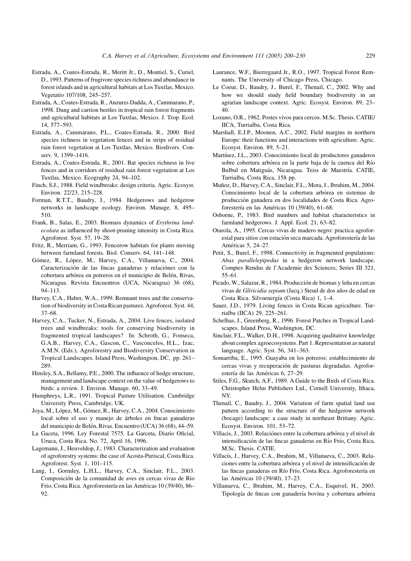- <span id="page-29-0"></span>Estrada, A., Coates-Estrada, R., Meritt Jr., D., Montiel, S., Curiel, D., 1993. Patterns of frugivore species richness and abundance in forest islands and in agricultural habitats at Los Tuxtlas, Mexico. Vegetatio 107/108, 245–257.
- Estrada, A., Coates-Estrada, R., Anzures Dadda, A., Cammarano, P., 1998. Dung and carrion beetles in tropical rain forest fragments and agricultural habitats at Los Tuxtlas, Mexico. J. Trop. Ecol. 14, 577–593.
- Estrada, A., Cammarano, P.L., Coates-Estrada, R., 2000. Bird species richness in vegetation fences and in strips of residual rain forest vegetation at Los Tuxtlas, Mexico. Biodivers. Conserv. 9, 1399–1416.
- Estrada, A., Coates-Estrada, R., 2001. Bat species richness in live fences and in corridors of residual rain forest vegetation at Los Tuxtlas, Mexico. Ecography 24, 94–102.
- Finch, S.J., 1988. Field windbreaks: design criteria. Agric. Ecosyst. Environ. 22/23, 215–228.
- Forman, R.T.T., Baudry, J., 1984. Hedgerows and hedgerow networks in landscape ecology. Environ. Manage. 8, 495– 510.
- Frank, B., Salas, E., 2003. Biomass dynamics of Erythrina landecolata as influenced by shoot-pruning intensity in Costa Rica. Agroforest. Syst. 57, 19–28.
- Fritz, R., Merriam, G., 1993. Fencerow habitats for plants moving between farmland forests. Biol. Conserv. 64, 141–148.
- Gómez, R., López, M., Harvey, C.A., Villanueva, C., 2004. Caracterización de las fincas ganaderas y relaciónes con la cobertura arbórea en potreros en el municipio de Belén, Rivas, Nicaragua. Revista Encuentros (UCA, Nicaragua) 36 (68), 94–113.
- Harvey, C.A., Haber, W.A., 1999. Remnant trees and the conservation of biodiversity in Costa Rican pastures. Agroforest. Syst. 44, 37–68.
- Harvey, C.A., Tucker, N., Estrada, A., 2004. Live fences, isolated trees and windbreaks: tools for conserving biodiversity in fragmented tropical landscapes? In: Schroth, G., Fonseca, G.A.B., Harvey, C.A., Gascon, C., Vasconcelos, H.L., Izac, A.M.N. (Eds.), Agroforestry and Biodiversity Conservation in Tropical Landscapes. Island Press, Washington, DC, pp. 261– 289.
- Hinsley, S.A., Bellamy, P.E., 2000. The influence of hedge structure, management and landscape context on the value of hedgerows to birds: a review. J. Environ. Manage. 60, 33–49.
- Humphreys, L.R., 1991. Tropical Pasture Utilisation. Cambridge University Press, Cambridge, UK.
- Joya, M., López, M., Gómez, R., Harvey, C.A., 2004. Conocimiento local sobre el uso y manejo de a´rboles en fincas ganaderas del municipio de Belén, Rivas. Encuentro (UCA) 36 (68), 44-59.
- La Gaceta, 1996. Ley Forestal 7575. La Garceta, Diario Oficial, Uruca, Costa Rica. No. 72, April 16, 1996.
- Lagemann, J., Heuveldop, J., 1983. Characterization and evaluation of agroforestry systems: the case of Acosta-Puriscal, Costa Rica. Agroforest. Syst. 1, 101–115.
- Lang, I., Gormley, L.H.L., Harvey, C.A., Sinclair, F.L., 2003. Composición de la comunidad de aves en cercas vivas de Rio Frio, Costa Rica. Agroforestería en las Américas 10 (39/40), 86– 92.
- Laurance, W.F., Bierregaard Jr., R.O., 1997. Tropical Forest Remnants. The University of Chicago Press, Chicago.
- Le Coeur, D., Baudry, J., Burel, F., Thenail, C., 2002. Why and how we should study field boundary biodiversity in an agrarian landscape context. Agric. Ecosyst. Environ. 89, 23– 40.
- Lozano, O.R., 1962. Postes vivos para cercos. M.Sc. Thesis. CATIE/ IICA, Turrialba, Costa Rica.
- Marshall, E.J.P., Moonen, A.C., 2002. Field margins in northern Europe: their functions and interactions with agriculture. Agric. Ecosyst. Environ. 89, 5–21.
- Martínez, J.L., 2003. Conocimiento local de productores ganaderos sobre cobertura arbórea en la parte baja de la cuenca del Río Bulbul en Matiguás, Nicaragua. Teiss de Maestría. CATIE, Turrialba, Costa Rica, 158 pp.
- Muñoz, D., Harvey, C.A., Sinclair, F.L., Mora, J., Ibrahim, M., 2004. Conocimiento local de la cobertura arbórea en sistemas de producción ganadera en dos localidades de Costa Rica. Agroforestería en las Américas 10 (39/40), 61–68.
- Osborne, P., 1983. Bird numbers and habitat characteristics in farmland hedgerows. J. Appl. Ecol. 21, 63–82.
- Otarola, A., 1995. Cercas vivas de madero negro: practica agroforestal para sitios con estación seca marcada. Agroforestería de las Américas 5, 24–27.
- Petit, S., Burel, F., 1998. Connectivity in fragmented populations: Abax parallelepipedus in a hedgerow network landscape. Comptes Rendus de l'Academie des Sciences, Series III 321, 55–61.
- Picado, W., Salazar, R., 1984. Producción de biomas y leña en cercas vivas de Gliricidia sepium (Jacq.) Steud de dos años de edad en Costa Rica. Silvoenergía (Costa Rica) 1, 1–4.
- Sauer, J.D., 1979. Living fences in Costa Rican agriculture. Turrialba (IICA) 29, 225–261.
- Schelhas, J., Greenberg, R., 1996. Forest Patches in Tropical Landscapes. Island Press, Washington, DC.
- Sinclair, F.L., Walker, D.H., 1998. Acquiring qualitative knowledge about complex agroecosystems. Part 1. Representation as natural language. Agric. Syst. 56, 341–363.
- Somarriba, E., 1995. Guayaba en los potreros: establecimiento de cercas vivas y recuperación de pasturas degradadas. Agroforestería de las Américas 6, 27-29.
- Stiles, F.G., Skutch, A.F., 1989. A Guide to the Birds of Costa Rica. Christopher Helm Publishers Ltd., Cornell University, Ithaca, NY.
- Thenail, C., Baudry, J., 2004. Variation of farm spatial land use pattern according to the structure of the hedgerow network (bocage) landscape: a case study in northeast Brittany. Agric. Ecosyst. Environ. 101, 53–72.
- Villacis, J., 2003. Relaciónes entre la cobertura arbórea y el nivel de intensificación de las fincas ganaderas en Río Frío, Costa Rica. M.Sc. Thesis. CATIE.
- Villacís, J., Harvey, C.A., Ibrahim, M., Villanueva, C., 2003. Relaciones entre la cobertura arbórea y el nivel de intensificación de las fincas ganaderas en Río Frío, Costa Rica. Agroforestería en las Américas 10 (39/40), 17-23.
- Villanueva, C., Ibrahim, M., Harvey, C.A., Esquivel, H., 2003. Tipología de fincas con ganadería bovina y cobertura arbórea